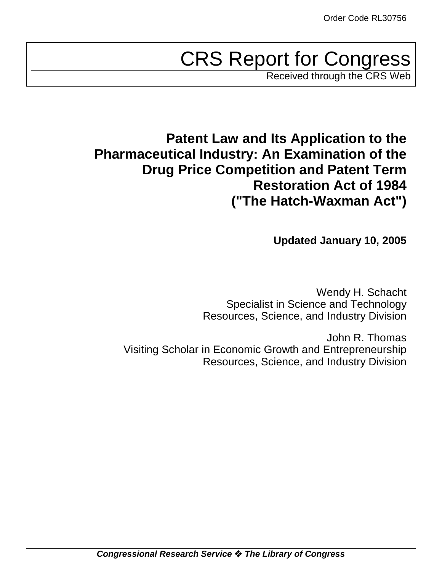# CRS Report for Congress

Received through the CRS Web

## **Patent Law and Its Application to the Pharmaceutical Industry: An Examination of the Drug Price Competition and Patent Term Restoration Act of 1984 ("The Hatch-Waxman Act")**

**Updated January 10, 2005**

Wendy H. Schacht Specialist in Science and Technology Resources, Science, and Industry Division

John R. Thomas Visiting Scholar in Economic Growth and Entrepreneurship Resources, Science, and Industry Division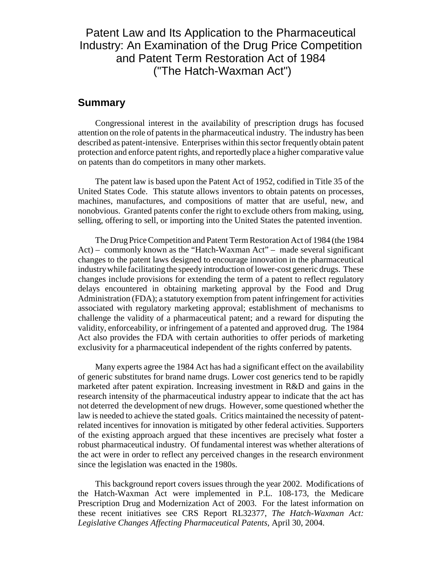## Patent Law and Its Application to the Pharmaceutical Industry: An Examination of the Drug Price Competition and Patent Term Restoration Act of 1984 ("The Hatch-Waxman Act")

## **Summary**

Congressional interest in the availability of prescription drugs has focused attention on the role of patents in the pharmaceutical industry. The industry has been described as patent-intensive. Enterprises within this sector frequently obtain patent protection and enforce patent rights, and reportedly place a higher comparative value on patents than do competitors in many other markets.

The patent law is based upon the Patent Act of 1952, codified in Title 35 of the United States Code. This statute allows inventors to obtain patents on processes, machines, manufactures, and compositions of matter that are useful, new, and nonobvious. Granted patents confer the right to exclude others from making, using, selling, offering to sell, or importing into the United States the patented invention.

The Drug Price Competition and Patent Term Restoration Act of 1984 (the 1984 Act) – commonly known as the "Hatch-Waxman Act" – made several significant changes to the patent laws designed to encourage innovation in the pharmaceutical industry while facilitating the speedy introduction of lower-cost generic drugs. These changes include provisions for extending the term of a patent to reflect regulatory delays encountered in obtaining marketing approval by the Food and Drug Administration (FDA); a statutory exemption from patent infringement for activities associated with regulatory marketing approval; establishment of mechanisms to challenge the validity of a pharmaceutical patent; and a reward for disputing the validity, enforceability, or infringement of a patented and approved drug. The 1984 Act also provides the FDA with certain authorities to offer periods of marketing exclusivity for a pharmaceutical independent of the rights conferred by patents.

Many experts agree the 1984 Act has had a significant effect on the availability of generic substitutes for brand name drugs. Lower cost generics tend to be rapidly marketed after patent expiration. Increasing investment in R&D and gains in the research intensity of the pharmaceutical industry appear to indicate that the act has not deterred the development of new drugs. However, some questioned whether the law is needed to achieve the stated goals. Critics maintained the necessity of patentrelated incentives for innovation is mitigated by other federal activities. Supporters of the existing approach argued that these incentives are precisely what foster a robust pharmaceutical industry. Of fundamental interest was whether alterations of the act were in order to reflect any perceived changes in the research environment since the legislation was enacted in the 1980s.

This background report covers issues through the year 2002. Modifications of the Hatch-Waxman Act were implemented in P.L. 108-173, the Medicare Prescription Drug and Modernization Act of 2003. For the latest information on these recent initiatives see CRS Report RL32377, *The Hatch-Waxman Act: Legislative Changes Affecting Pharmaceutical Patents,* April 30, 2004.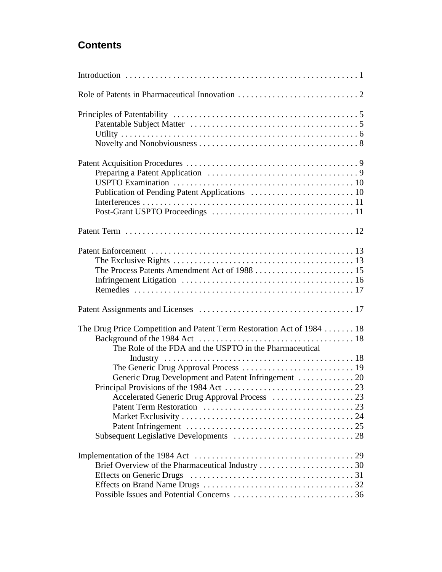## **Contents**

| The Drug Price Competition and Patent Term Restoration Act of 1984 18                                    |
|----------------------------------------------------------------------------------------------------------|
| The Role of the FDA and the USPTO in the Pharmaceutical<br>Accelerated Generic Drug Approval Process  23 |
| <b>Effects on Generic Drugs</b>                                                                          |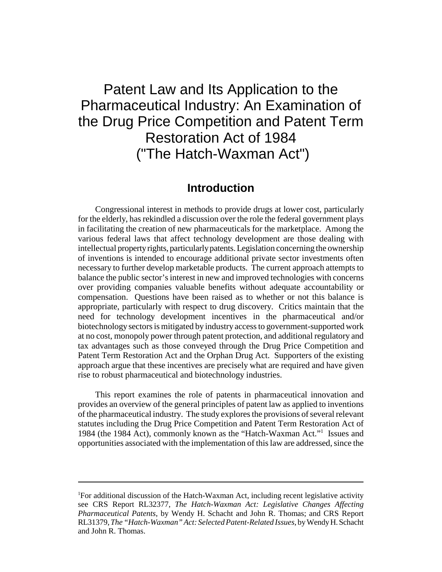## Patent Law and Its Application to the Pharmaceutical Industry: An Examination of the Drug Price Competition and Patent Term Restoration Act of 1984 ("The Hatch-Waxman Act")

## **Introduction**

Congressional interest in methods to provide drugs at lower cost, particularly for the elderly, has rekindled a discussion over the role the federal government plays in facilitating the creation of new pharmaceuticals for the marketplace. Among the various federal laws that affect technology development are those dealing with intellectual property rights, particularly patents. Legislation concerning the ownership of inventions is intended to encourage additional private sector investments often necessary to further develop marketable products. The current approach attempts to balance the public sector's interest in new and improved technologies with concerns over providing companies valuable benefits without adequate accountability or compensation. Questions have been raised as to whether or not this balance is appropriate, particularly with respect to drug discovery. Critics maintain that the need for technology development incentives in the pharmaceutical and/or biotechnology sectors is mitigated by industry access to government-supported work at no cost, monopoly power through patent protection, and additional regulatory and tax advantages such as those conveyed through the Drug Price Competition and Patent Term Restoration Act and the Orphan Drug Act. Supporters of the existing approach argue that these incentives are precisely what are required and have given rise to robust pharmaceutical and biotechnology industries.

This report examines the role of patents in pharmaceutical innovation and provides an overview of the general principles of patent law as applied to inventions of the pharmaceutical industry. The study explores the provisions of several relevant statutes including the Drug Price Competition and Patent Term Restoration Act of 1984 (the 1984 Act), commonly known as the "Hatch-Waxman Act."1 Issues and opportunities associated with the implementation of this law are addressed, since the

<sup>&</sup>lt;sup>1</sup>For additional discussion of the Hatch-Waxman Act, including recent legislative activity see CRS Report RL32377, *The Hatch-Waxman Act: Legislative Changes Affecting Pharmaceutical Patents*, by Wendy H. Schacht and John R. Thomas; and CRS Report RL31379, *The "Hatch-Waxman" Act: Selected Patent-Related Issues*, by Wendy H. Schacht and John R. Thomas.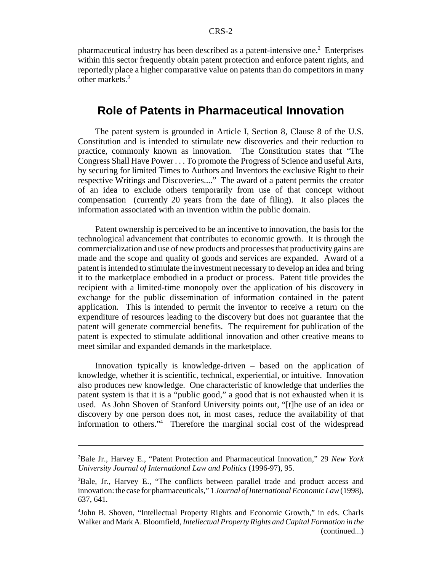pharmaceutical industry has been described as a patent-intensive one.<sup>2</sup> Enterprises within this sector frequently obtain patent protection and enforce patent rights, and reportedly place a higher comparative value on patents than do competitors in many other markets.<sup>3</sup>

## **Role of Patents in Pharmaceutical Innovation**

The patent system is grounded in Article I, Section 8, Clause 8 of the U.S. Constitution and is intended to stimulate new discoveries and their reduction to practice, commonly known as innovation. The Constitution states that "The Congress Shall Have Power . . . To promote the Progress of Science and useful Arts, by securing for limited Times to Authors and Inventors the exclusive Right to their respective Writings and Discoveries...." The award of a patent permits the creator of an idea to exclude others temporarily from use of that concept without compensation (currently 20 years from the date of filing). It also places the information associated with an invention within the public domain.

Patent ownership is perceived to be an incentive to innovation, the basis for the technological advancement that contributes to economic growth. It is through the commercialization and use of new products and processes that productivity gains are made and the scope and quality of goods and services are expanded. Award of a patent is intended to stimulate the investment necessary to develop an idea and bring it to the marketplace embodied in a product or process. Patent title provides the recipient with a limited-time monopoly over the application of his discovery in exchange for the public dissemination of information contained in the patent application. This is intended to permit the inventor to receive a return on the expenditure of resources leading to the discovery but does not guarantee that the patent will generate commercial benefits. The requirement for publication of the patent is expected to stimulate additional innovation and other creative means to meet similar and expanded demands in the marketplace.

Innovation typically is knowledge-driven – based on the application of knowledge, whether it is scientific, technical, experiential, or intuitive. Innovation also produces new knowledge. One characteristic of knowledge that underlies the patent system is that it is a "public good," a good that is not exhausted when it is used. As John Shoven of Stanford University points out, "[t]he use of an idea or discovery by one person does not, in most cases, reduce the availability of that information to others."4 Therefore the marginal social cost of the widespread

<sup>2</sup> Bale Jr., Harvey E., "Patent Protection and Pharmaceutical Innovation," 29 *New York University Journal of International Law and Politics* (1996-97), 95.

<sup>&</sup>lt;sup>3</sup>Bale, Jr., Harvey E., "The conflicts between parallel trade and product access and innovation: the case for pharmaceuticals," 1 *Journal of International Economic Law* (1998), 637, 641.

<sup>4</sup> John B. Shoven, "Intellectual Property Rights and Economic Growth," in eds. Charls Walker and Mark A. Bloomfield, *Intellectual Property Rights and Capital Formation in the* (continued...)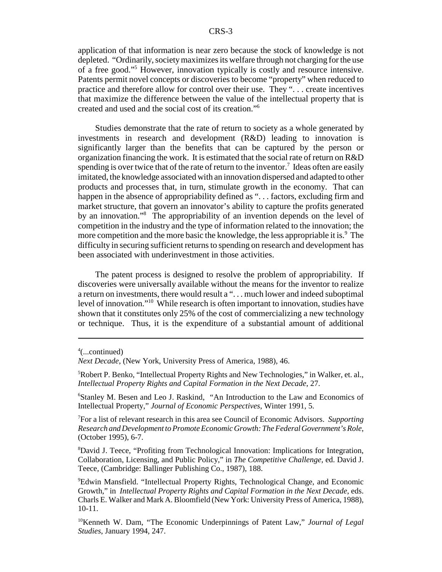application of that information is near zero because the stock of knowledge is not depleted. "Ordinarily, society maximizes its welfare through not charging for the use of a free good."5 However, innovation typically is costly and resource intensive. Patents permit novel concepts or discoveries to become "property" when reduced to practice and therefore allow for control over their use. They ". . . create incentives that maximize the difference between the value of the intellectual property that is created and used and the social cost of its creation."6

Studies demonstrate that the rate of return to society as a whole generated by investments in research and development (R&D) leading to innovation is significantly larger than the benefits that can be captured by the person or organization financing the work. It is estimated that the social rate of return on R&D spending is over twice that of the rate of return to the inventor.<sup>7</sup> Ideas often are easily imitated, the knowledge associated with an innovation dispersed and adapted to other products and processes that, in turn, stimulate growth in the economy. That can happen in the absence of appropriability defined as "... factors, excluding firm and market structure, that govern an innovator's ability to capture the profits generated by an innovation."<sup>8</sup> The appropriability of an invention depends on the level of competition in the industry and the type of information related to the innovation; the more competition and the more basic the knowledge, the less appropriable it is.<sup>9</sup> The difficulty in securing sufficient returns to spending on research and development has been associated with underinvestment in those activities.

The patent process is designed to resolve the problem of appropriability. If discoveries were universally available without the means for the inventor to realize a return on investments, there would result a ". . . much lower and indeed suboptimal level of innovation."10 While research is often important to innovation, studies have shown that it constitutes only 25% of the cost of commercializing a new technology or technique. Thus, it is the expenditure of a substantial amount of additional

6 Stanley M. Besen and Leo J. Raskind, "An Introduction to the Law and Economics of Intellectual Property," *Journal of Economic Perspectives*, Winter 1991, 5.

7 For a list of relevant research in this area see Council of Economic Advisors. *Supporting Research and Development to Promote Economic Growth: The Federal Government's Role*, (October 1995), 6-7.

8 David J. Teece, "Profiting from Technological Innovation: Implications for Integration, Collaboration, Licensing, and Public Policy," in *The Competitive Challenge,* ed. David J. Teece, (Cambridge: Ballinger Publishing Co., 1987), 188.

<sup>4</sup> (...continued)

*Next Decade*, (New York, University Press of America, 1988), 46.

<sup>5</sup> Robert P. Benko, "Intellectual Property Rights and New Technologies," in Walker, et. al., *Intellectual Property Rights and Capital Formation in the Next Decade*, 27.

<sup>9</sup> Edwin Mansfield. "Intellectual Property Rights, Technological Change, and Economic Growth," in *Intellectual Property Rights and Capital Formation in the Next Decade*, eds. Charls E. Walker and Mark A. Bloomfield (New York: University Press of America, 1988), 10-11.

<sup>10</sup>Kenneth W. Dam, "The Economic Underpinnings of Patent Law," *Journal of Legal Studies*, January 1994, 247.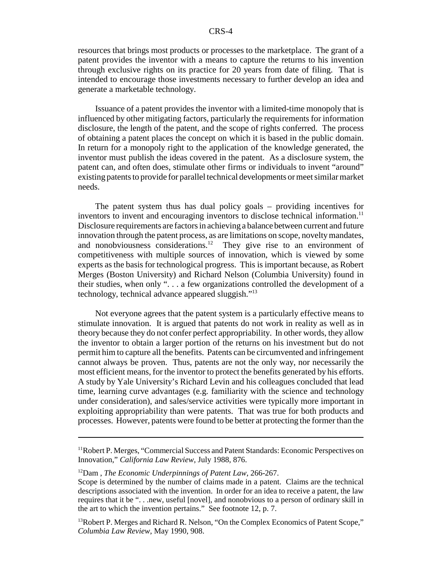resources that brings most products or processes to the marketplace. The grant of a patent provides the inventor with a means to capture the returns to his invention through exclusive rights on its practice for 20 years from date of filing. That is intended to encourage those investments necessary to further develop an idea and generate a marketable technology.

Issuance of a patent provides the inventor with a limited-time monopoly that is influenced by other mitigating factors, particularly the requirements for information disclosure, the length of the patent, and the scope of rights conferred. The process of obtaining a patent places the concept on which it is based in the public domain. In return for a monopoly right to the application of the knowledge generated, the inventor must publish the ideas covered in the patent. As a disclosure system, the patent can, and often does, stimulate other firms or individuals to invent "around" existing patents to provide for parallel technical developments or meet similar market needs.

The patent system thus has dual policy goals – providing incentives for inventors to invent and encouraging inventors to disclose technical information.<sup>11</sup> Disclosure requirements are factors in achieving a balance between current and future innovation through the patent process, as are limitations on scope, novelty mandates, and nonobviousness considerations.<sup>12</sup> They give rise to an environment of competitiveness with multiple sources of innovation, which is viewed by some experts as the basis for technological progress. This is important because, as Robert Merges (Boston University) and Richard Nelson (Columbia University) found in their studies, when only ". . . a few organizations controlled the development of a technology, technical advance appeared sluggish."13

Not everyone agrees that the patent system is a particularly effective means to stimulate innovation. It is argued that patents do not work in reality as well as in theory because they do not confer perfect appropriability. In other words, they allow the inventor to obtain a larger portion of the returns on his investment but do not permit him to capture all the benefits. Patents can be circumvented and infringement cannot always be proven. Thus, patents are not the only way, nor necessarily the most efficient means, for the inventor to protect the benefits generated by his efforts. A study by Yale University's Richard Levin and his colleagues concluded that lead time, learning curve advantages (e.g. familiarity with the science and technology under consideration), and sales/service activities were typically more important in exploiting appropriability than were patents. That was true for both products and processes. However, patents were found to be better at protecting the former than the

<sup>&</sup>lt;sup>11</sup>Robert P. Merges, "Commercial Success and Patent Standards: Economic Perspectives on Innovation," *California Law Review*, July 1988, 876.

<sup>12</sup>Dam , *The Economic Underpinnings of Patent Law*, 266-267.

Scope is determined by the number of claims made in a patent. Claims are the technical descriptions associated with the invention. In order for an idea to receive a patent, the law requires that it be ". . .new, useful [novel], and nonobvious to a person of ordinary skill in the art to which the invention pertains." See footnote 12, p. 7.

 $<sup>13</sup>$ Robert P. Merges and Richard R. Nelson, "On the Complex Economics of Patent Scope,"</sup> *Columbia Law Review*, May 1990, 908.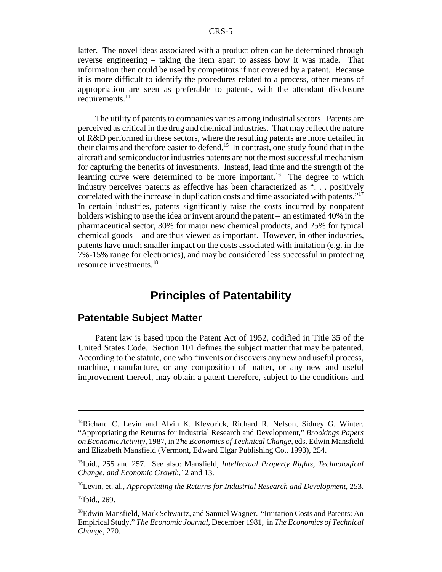latter. The novel ideas associated with a product often can be determined through reverse engineering – taking the item apart to assess how it was made. That information then could be used by competitors if not covered by a patent. Because it is more difficult to identify the procedures related to a process, other means of appropriation are seen as preferable to patents, with the attendant disclosure requirements.<sup>14</sup>

The utility of patents to companies varies among industrial sectors. Patents are perceived as critical in the drug and chemical industries. That may reflect the nature of R&D performed in these sectors, where the resulting patents are more detailed in their claims and therefore easier to defend.15 In contrast, one study found that in the aircraft and semiconductor industries patents are not the most successful mechanism for capturing the benefits of investments. Instead, lead time and the strength of the learning curve were determined to be more important.<sup>16</sup> The degree to which industry perceives patents as effective has been characterized as ". . . positively correlated with the increase in duplication costs and time associated with patents."17 In certain industries, patents significantly raise the costs incurred by nonpatent holders wishing to use the idea or invent around the patent – an estimated 40% in the pharmaceutical sector, 30% for major new chemical products, and 25% for typical chemical goods – and are thus viewed as important. However, in other industries, patents have much smaller impact on the costs associated with imitation (e.g. in the 7%-15% range for electronics), and may be considered less successful in protecting resource investments.18

## **Principles of Patentability**

## **Patentable Subject Matter**

Patent law is based upon the Patent Act of 1952, codified in Title 35 of the United States Code. Section 101 defines the subject matter that may be patented. According to the statute, one who "invents or discovers any new and useful process, machine, manufacture, or any composition of matter, or any new and useful improvement thereof, may obtain a patent therefore, subject to the conditions and

<sup>&</sup>lt;sup>14</sup>Richard C. Levin and Alvin K. Klevorick, Richard R. Nelson, Sidney G. Winter. "Appropriating the Returns for Industrial Research and Development," *Brookings Papers on Economic Activity*, 1987, in *The Economics of Technical Change*, eds. Edwin Mansfield and Elizabeth Mansfield (Vermont, Edward Elgar Publishing Co., 1993), 254.

<sup>15</sup>Ibid., 255 and 257. See also: Mansfield, *Intellectual Property Rights, Technological Change, and Economic Growth,*12 and 13.

<sup>16</sup>Levin, et. al., *Appropriating the Returns for Industrial Research and Development*, 253.

<sup>17</sup>Ibid., 269.

<sup>18</sup>Edwin Mansfield, Mark Schwartz, and Samuel Wagner. "Imitation Costs and Patents: An Empirical Study," *The Economic Journal*, December 1981, in *The Economics of Technical Change*, 270.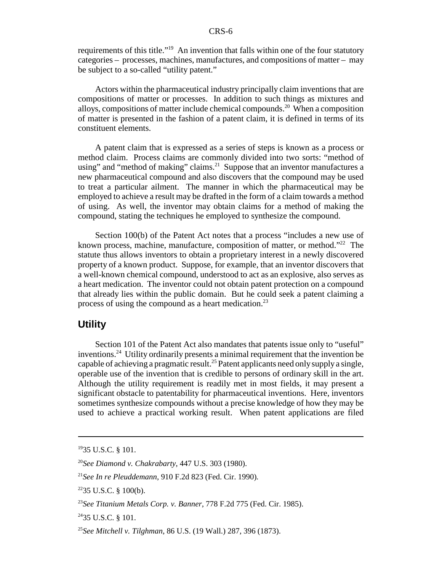requirements of this title."<sup>19</sup> An invention that falls within one of the four statutory categories – processes, machines, manufactures, and compositions of matter – may be subject to a so-called "utility patent."

Actors within the pharmaceutical industry principally claim inventions that are compositions of matter or processes. In addition to such things as mixtures and alloys, compositions of matter include chemical compounds.<sup>20</sup> When a composition of matter is presented in the fashion of a patent claim, it is defined in terms of its constituent elements.

A patent claim that is expressed as a series of steps is known as a process or method claim. Process claims are commonly divided into two sorts: "method of using" and "method of making" claims.<sup>21</sup> Suppose that an inventor manufactures a new pharmaceutical compound and also discovers that the compound may be used to treat a particular ailment. The manner in which the pharmaceutical may be employed to achieve a result may be drafted in the form of a claim towards a method of using. As well, the inventor may obtain claims for a method of making the compound, stating the techniques he employed to synthesize the compound.

Section 100(b) of the Patent Act notes that a process "includes a new use of known process, machine, manufacture, composition of matter, or method."22 The statute thus allows inventors to obtain a proprietary interest in a newly discovered property of a known product. Suppose, for example, that an inventor discovers that a well-known chemical compound, understood to act as an explosive, also serves as a heart medication. The inventor could not obtain patent protection on a compound that already lies within the public domain. But he could seek a patent claiming a process of using the compound as a heart medication.<sup>23</sup>

### **Utility**

Section 101 of the Patent Act also mandates that patents issue only to "useful" inventions.24 Utility ordinarily presents a minimal requirement that the invention be capable of achieving a pragmatic result.<sup>25</sup> Patent applicants need only supply a single, operable use of the invention that is credible to persons of ordinary skill in the art. Although the utility requirement is readily met in most fields, it may present a significant obstacle to patentability for pharmaceutical inventions. Here, inventors sometimes synthesize compounds without a precise knowledge of how they may be used to achieve a practical working result. When patent applications are filed

<sup>1935</sup> U.S.C. § 101.

<sup>20</sup>*See Diamond v. Chakrabarty*, 447 U.S. 303 (1980).

<sup>21</sup>*See In re Pleuddemann*, 910 F.2d 823 (Fed. Cir. 1990)*.*

 $2235$  U.S.C. § 100(b).

<sup>23</sup>*See Titanium Metals Corp. v. Banner*, 778 F.2d 775 (Fed. Cir. 1985).

 $2435$  U.S.C. § 101.

<sup>25</sup>*See Mitchell v. Tilghman*, 86 U.S. (19 Wall.) 287, 396 (1873).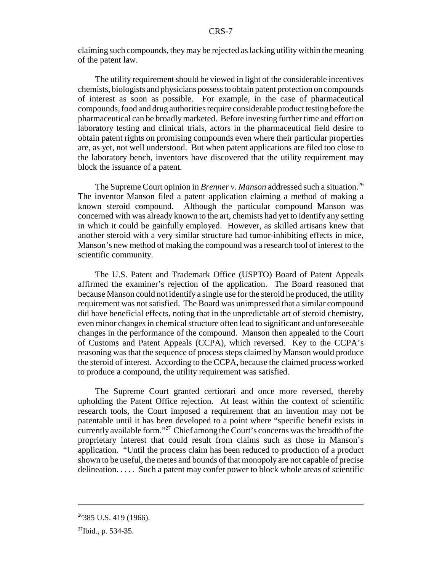claiming such compounds, they may be rejected as lacking utility within the meaning of the patent law.

The utility requirement should be viewed in light of the considerable incentives chemists, biologists and physicians possess to obtain patent protection on compounds of interest as soon as possible. For example, in the case of pharmaceutical compounds, food and drug authorities require considerable product testing before the pharmaceutical can be broadly marketed. Before investing further time and effort on laboratory testing and clinical trials, actors in the pharmaceutical field desire to obtain patent rights on promising compounds even where their particular properties are, as yet, not well understood. But when patent applications are filed too close to the laboratory bench, inventors have discovered that the utility requirement may block the issuance of a patent.

The Supreme Court opinion in *Brenner v. Manson* addressed such a situation.<sup>26</sup> The inventor Manson filed a patent application claiming a method of making a known steroid compound. Although the particular compound Manson was concerned with was already known to the art, chemists had yet to identify any setting in which it could be gainfully employed. However, as skilled artisans knew that another steroid with a very similar structure had tumor-inhibiting effects in mice, Manson's new method of making the compound was a research tool of interest to the scientific community.

The U.S. Patent and Trademark Office (USPTO) Board of Patent Appeals affirmed the examiner's rejection of the application. The Board reasoned that because Manson could not identify a single use for the steroid he produced, the utility requirement was not satisfied. The Board was unimpressed that a similar compound did have beneficial effects, noting that in the unpredictable art of steroid chemistry, even minor changes in chemical structure often lead to significant and unforeseeable changes in the performance of the compound. Manson then appealed to the Court of Customs and Patent Appeals (CCPA), which reversed. Key to the CCPA's reasoning was that the sequence of process steps claimed by Manson would produce the steroid of interest. According to the CCPA, because the claimed process worked to produce a compound, the utility requirement was satisfied.

The Supreme Court granted certiorari and once more reversed, thereby upholding the Patent Office rejection. At least within the context of scientific research tools, the Court imposed a requirement that an invention may not be patentable until it has been developed to a point where "specific benefit exists in currently available form."<sup>27</sup> Chief among the Court's concerns was the breadth of the proprietary interest that could result from claims such as those in Manson's application. "Until the process claim has been reduced to production of a product shown to be useful, the metes and bounds of that monopoly are not capable of precise delineation. . . . . Such a patent may confer power to block whole areas of scientific

 $26385$  U.S. 419 (1966).

 $^{27}$ Ibid., p. 534-35.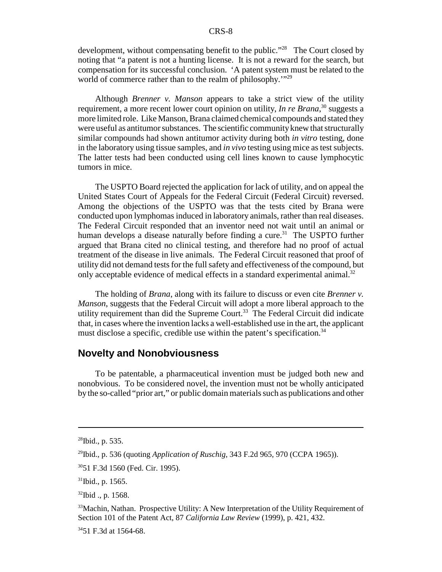development, without compensating benefit to the public."<sup>28</sup> The Court closed by noting that "a patent is not a hunting license. It is not a reward for the search, but compensation for its successful conclusion. 'A patent system must be related to the world of commerce rather than to the realm of philosophy.'"29

Although *Brenner v. Manson* appears to take a strict view of the utility requirement, a more recent lower court opinion on utility, *In re Brana*,<sup>30</sup> suggests a more limited role. Like Manson, Brana claimed chemical compounds and stated they were useful as antitumor substances. The scientific community knew that structurally similar compounds had shown antitumor activity during both *in vitro* testing, done in the laboratory using tissue samples, and *in vivo* testing using mice as test subjects. The latter tests had been conducted using cell lines known to cause lymphocytic tumors in mice.

The USPTO Board rejected the application for lack of utility, and on appeal the United States Court of Appeals for the Federal Circuit (Federal Circuit) reversed. Among the objections of the USPTO was that the tests cited by Brana were conducted upon lymphomas induced in laboratory animals, rather than real diseases. The Federal Circuit responded that an inventor need not wait until an animal or human develops a disease naturally before finding a cure.<sup>31</sup> The USPTO further argued that Brana cited no clinical testing, and therefore had no proof of actual treatment of the disease in live animals. The Federal Circuit reasoned that proof of utility did not demand tests for the full safety and effectiveness of the compound, but only acceptable evidence of medical effects in a standard experimental animal.<sup>32</sup>

The holding of *Brana*, along with its failure to discuss or even cite *Brenner v. Manson*, suggests that the Federal Circuit will adopt a more liberal approach to the utility requirement than did the Supreme Court.<sup>33</sup> The Federal Circuit did indicate that, in cases where the invention lacks a well-established use in the art, the applicant must disclose a specific, credible use within the patent's specification.<sup>34</sup>

## **Novelty and Nonobviousness**

To be patentable, a pharmaceutical invention must be judged both new and nonobvious. To be considered novel, the invention must not be wholly anticipated by the so-called "prior art," or public domain materials such as publications and other

<sup>28</sup>Ibid., p. 535.

<sup>29</sup>Ibid., p. 536 (quoting *Application of Ruschig*, 343 F.2d 965, 970 (CCPA 1965)).

<sup>3051</sup> F.3d 1560 (Fed. Cir. 1995).

 $31$ Ibid., p. 1565.

<sup>&</sup>lt;sup>32</sup>Ibid ., p. 1568.

<sup>&</sup>lt;sup>33</sup>Machin, Nathan. Prospective Utility: A New Interpretation of the Utility Requirement of Section 101 of the Patent Act, 87 *California Law Review* (1999), p. 421, 432.

 $3451$  F.3d at 1564-68.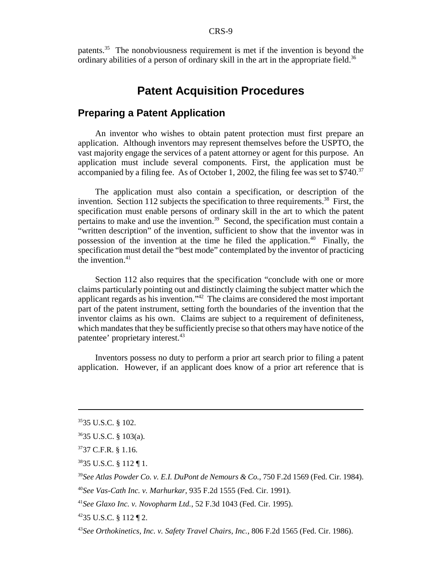patents.35 The nonobviousness requirement is met if the invention is beyond the ordinary abilities of a person of ordinary skill in the art in the appropriate field.<sup>36</sup>

## **Patent Acquisition Procedures**

## **Preparing a Patent Application**

An inventor who wishes to obtain patent protection must first prepare an application. Although inventors may represent themselves before the USPTO, the vast majority engage the services of a patent attorney or agent for this purpose. An application must include several components. First, the application must be accompanied by a filing fee. As of October 1, 2002, the filing fee was set to  $$740.<sup>37</sup>$ 

The application must also contain a specification, or description of the invention. Section 112 subjects the specification to three requirements.<sup>38</sup> First, the specification must enable persons of ordinary skill in the art to which the patent pertains to make and use the invention.<sup>39</sup> Second, the specification must contain a "written description" of the invention, sufficient to show that the inventor was in possession of the invention at the time he filed the application.<sup>40</sup> Finally, the specification must detail the "best mode" contemplated by the inventor of practicing the invention. $41$ 

Section 112 also requires that the specification "conclude with one or more claims particularly pointing out and distinctly claiming the subject matter which the applicant regards as his invention."42 The claims are considered the most important part of the patent instrument, setting forth the boundaries of the invention that the inventor claims as his own. Claims are subject to a requirement of definiteness, which mandates that they be sufficiently precise so that others may have notice of the patentee' proprietary interest.<sup>43</sup>

Inventors possess no duty to perform a prior art search prior to filing a patent application. However, if an applicant does know of a prior art reference that is

<sup>3535</sup> U.S.C. § 102.

<sup>3635</sup> U.S.C. § 103(a).

<sup>3737</sup> C.F.R. § 1.16.

<sup>3835</sup> U.S.C. § 112 ¶ 1.

<sup>39</sup>*See Atlas Powder Co. v. E.I. DuPont de Nemours & Co.*, 750 F.2d 1569 (Fed. Cir. 1984).

<sup>40</sup>*See Vas-Cath Inc. v. Marhurkar*, 935 F.2d 1555 (Fed. Cir. 1991).

<sup>41</sup>*See Glaxo Inc. v. Novopharm Ltd.*, 52 F.3d 1043 (Fed. Cir. 1995).

 $4235$  U.S.C. § 112 ¶ 2.

<sup>43</sup>*See Orthokinetics, Inc. v. Safety Travel Chairs, Inc.*, 806 F.2d 1565 (Fed. Cir. 1986).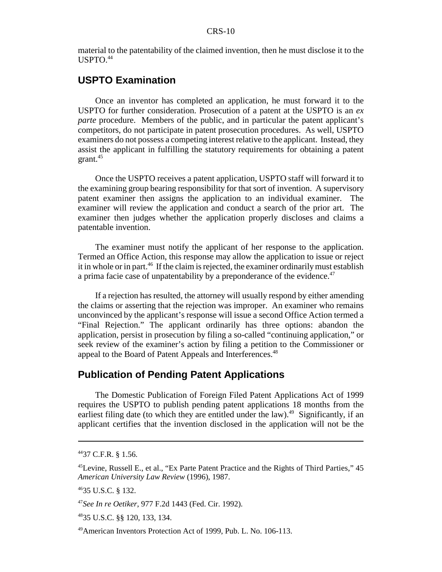material to the patentability of the claimed invention, then he must disclose it to the USPTO.44

## **USPTO Examination**

Once an inventor has completed an application, he must forward it to the USPTO for further consideration. Prosecution of a patent at the USPTO is an *ex parte* procedure. Members of the public, and in particular the patent applicant's competitors, do not participate in patent prosecution procedures. As well, USPTO examiners do not possess a competing interest relative to the applicant. Instead, they assist the applicant in fulfilling the statutory requirements for obtaining a patent grant.<sup>45</sup>

Once the USPTO receives a patent application, USPTO staff will forward it to the examining group bearing responsibility for that sort of invention. A supervisory patent examiner then assigns the application to an individual examiner. The examiner will review the application and conduct a search of the prior art. The examiner then judges whether the application properly discloses and claims a patentable invention.

The examiner must notify the applicant of her response to the application. Termed an Office Action, this response may allow the application to issue or reject it in whole or in part.<sup>46</sup> If the claim is rejected, the examiner ordinarily must establish a prima facie case of unpatentability by a preponderance of the evidence.<sup>47</sup>

If a rejection has resulted, the attorney will usually respond by either amending the claims or asserting that the rejection was improper. An examiner who remains unconvinced by the applicant's response will issue a second Office Action termed a "Final Rejection." The applicant ordinarily has three options: abandon the application, persist in prosecution by filing a so-called "continuing application," or seek review of the examiner's action by filing a petition to the Commissioner or appeal to the Board of Patent Appeals and Interferences.<sup>48</sup>

## **Publication of Pending Patent Applications**

The Domestic Publication of Foreign Filed Patent Applications Act of 1999 requires the USPTO to publish pending patent applications 18 months from the earliest filing date (to which they are entitled under the law).<sup>49</sup> Significantly, if an applicant certifies that the invention disclosed in the application will not be the

<sup>4437</sup> C.F.R. § 1.56.

<sup>45</sup>Levine, Russell E., et al., "Ex Parte Patent Practice and the Rights of Third Parties," 45 *American University Law Review* (1996), 1987.

<sup>4635</sup> U.S.C. § 132.

<sup>47</sup>*See In re Oetiker*, 977 F.2d 1443 (Fed. Cir. 1992).

<sup>4835</sup> U.S.C. §§ 120, 133, 134.

<sup>49</sup>American Inventors Protection Act of 1999, Pub. L. No. 106-113.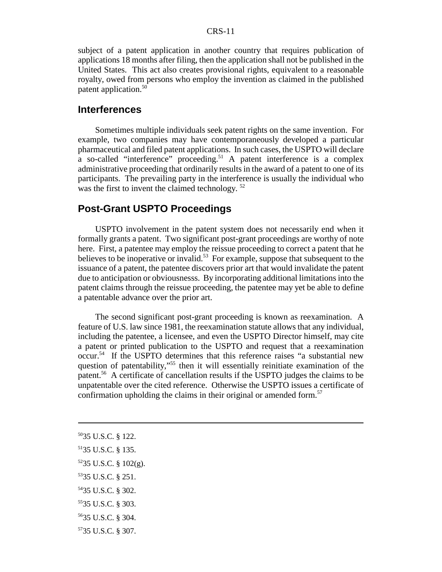subject of a patent application in another country that requires publication of applications 18 months after filing, then the application shall not be published in the United States. This act also creates provisional rights, equivalent to a reasonable royalty, owed from persons who employ the invention as claimed in the published patent application.<sup>50</sup>

#### **Interferences**

Sometimes multiple individuals seek patent rights on the same invention. For example, two companies may have contemporaneously developed a particular pharmaceutical and filed patent applications. In such cases, the USPTO will declare a so-called "interference" proceeding.<sup>51</sup> A patent interference is a complex administrative proceeding that ordinarily results in the award of a patent to one of its participants. The prevailing party in the interference is usually the individual who was the first to invent the claimed technology.  $52$ 

#### **Post-Grant USPTO Proceedings**

USPTO involvement in the patent system does not necessarily end when it formally grants a patent. Two significant post-grant proceedings are worthy of note here. First, a patentee may employ the reissue proceeding to correct a patent that he believes to be inoperative or invalid.<sup>53</sup> For example, suppose that subsequent to the issuance of a patent, the patentee discovers prior art that would invalidate the patent due to anticipation or obviousnesss. By incorporating additional limitations into the patent claims through the reissue proceeding, the patentee may yet be able to define a patentable advance over the prior art.

The second significant post-grant proceeding is known as reexamination. A feature of U.S. law since 1981, the reexamination statute allows that any individual, including the patentee, a licensee, and even the USPTO Director himself, may cite a patent or printed publication to the USPTO and request that a reexamination occur.54 If the USPTO determines that this reference raises "a substantial new question of patentability,"55 then it will essentially reinitiate examination of the patent.56 A certificate of cancellation results if the USPTO judges the claims to be unpatentable over the cited reference. Otherwise the USPTO issues a certificate of confirmation upholding the claims in their original or amended form.<sup>57</sup>

- 5035 U.S.C. § 122.
- 5135 U.S.C. § 135.
- 5235 U.S.C. § 102(g).
- 5335 U.S.C. § 251.
- 5435 U.S.C. § 302.
- 5535 U.S.C. § 303.
- 5635 U.S.C. § 304.
- 5735 U.S.C. § 307.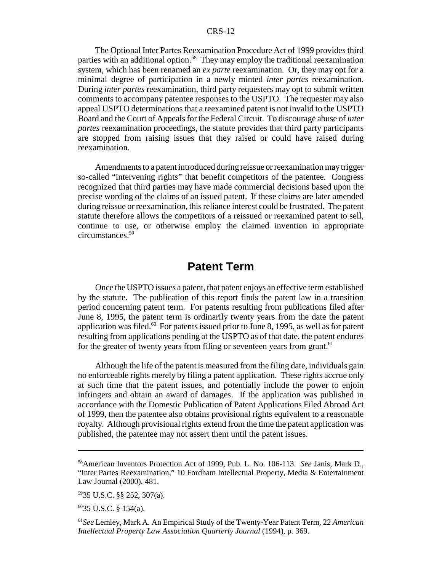The Optional Inter Partes Reexamination Procedure Act of 1999 provides third parties with an additional option.<sup>58</sup> They may employ the traditional reexamination system, which has been renamed an *ex parte* reexamination. Or, they may opt for a minimal degree of participation in a newly minted *inter partes* reexamination. During *inter partes* reexamination, third party requesters may opt to submit written comments to accompany patentee responses to the USPTO. The requester may also appeal USPTO determinations that a reexamined patent is not invalid to the USPTO Board and the Court of Appeals for the Federal Circuit. To discourage abuse of *inter partes* reexamination proceedings, the statute provides that third party participants are stopped from raising issues that they raised or could have raised during reexamination.

Amendments to a patent introduced during reissue or reexamination may trigger so-called "intervening rights" that benefit competitors of the patentee. Congress recognized that third parties may have made commercial decisions based upon the precise wording of the claims of an issued patent. If these claims are later amended during reissue or reexamination, this reliance interest could be frustrated. The patent statute therefore allows the competitors of a reissued or reexamined patent to sell, continue to use, or otherwise employ the claimed invention in appropriate circumstances.59

## **Patent Term**

Once the USPTO issues a patent, that patent enjoys an effective term established by the statute. The publication of this report finds the patent law in a transition period concerning patent term. For patents resulting from publications filed after June 8, 1995, the patent term is ordinarily twenty years from the date the patent application was filed.<sup>60</sup> For patents issued prior to June 8, 1995, as well as for patent resulting from applications pending at the USPTO as of that date, the patent endures for the greater of twenty years from filing or seventeen years from grant.<sup>61</sup>

Although the life of the patent is measured from the filing date, individuals gain no enforceable rights merely by filing a patent application. These rights accrue only at such time that the patent issues, and potentially include the power to enjoin infringers and obtain an award of damages. If the application was published in accordance with the Domestic Publication of Patent Applications Filed Abroad Act of 1999, then the patentee also obtains provisional rights equivalent to a reasonable royalty. Although provisional rights extend from the time the patent application was published, the patentee may not assert them until the patent issues.

6035 U.S.C. § 154(a).

<sup>58</sup>American Inventors Protection Act of 1999, Pub. L. No. 106-113. *See* Janis, Mark D., "Inter Partes Reexamination," 10 Fordham Intellectual Property, Media & Entertainment Law Journal (2000), 481.

<sup>5935</sup> U.S.C. §§ 252, 307(a).

<sup>61</sup>*See* Lemley, Mark A. An Empirical Study of the Twenty-Year Patent Term, 22 *American Intellectual Property Law Association Quarterly Journal* (1994), p. 369.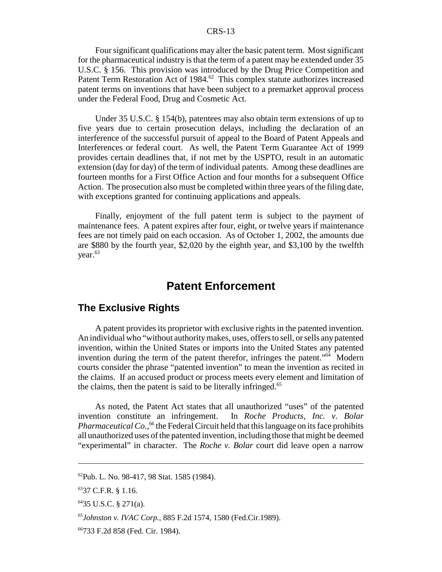Four significant qualifications may alter the basic patent term. Most significant for the pharmaceutical industry is that the term of a patent may be extended under 35 U.S.C. § 156. This provision was introduced by the Drug Price Competition and Patent Term Restoration Act of 1984.<sup>62</sup> This complex statute authorizes increased patent terms on inventions that have been subject to a premarket approval process under the Federal Food, Drug and Cosmetic Act.

Under 35 U.S.C. § 154(b), patentees may also obtain term extensions of up to five years due to certain prosecution delays, including the declaration of an interference of the successful pursuit of appeal to the Board of Patent Appeals and Interferences or federal court. As well, the Patent Term Guarantee Act of 1999 provides certain deadlines that, if not met by the USPTO, result in an automatic extension (day for day) of the term of individual patents. Among these deadlines are fourteen months for a First Office Action and four months for a subsequent Office Action. The prosecution also must be completed within three years of the filing date, with exceptions granted for continuing applications and appeals.

Finally, enjoyment of the full patent term is subject to the payment of maintenance fees. A patent expires after four, eight, or twelve years if maintenance fees are not timely paid on each occasion. As of October 1, 2002, the amounts due are \$880 by the fourth year, \$2,020 by the eighth year, and \$3,100 by the twelfth vear. $63$ 

## **Patent Enforcement**

### **The Exclusive Rights**

A patent provides its proprietor with exclusive rights in the patented invention. An individual who "without authority makes, uses, offers to sell, or sells any patented invention, within the United States or imports into the United States any patented invention during the term of the patent therefor, infringes the patent."<sup>64</sup> Modern courts consider the phrase "patented invention" to mean the invention as recited in the claims. If an accused product or process meets every element and limitation of the claims, then the patent is said to be literally infringed.<sup>65</sup>

As noted, the Patent Act states that all unauthorized "uses" of the patented invention constitute an infringement. In *Roche Products, Inc. v. Bolar Pharmaceutical Co.*,<sup>66</sup> the Federal Circuit held that this language on its face prohibits all unauthorized uses of the patented invention, including those that might be deemed "experimental" in character. The *Roche v. Bolar* court did leave open a narrow

<sup>62</sup>Pub. L. No. 98-417, 98 Stat. 1585 (1984).

<sup>&</sup>lt;sup>63</sup>37 C.F.R. § 1.16.

 $6435$  U.S.C. § 271(a).

<sup>65</sup>*Johnston v. IVAC Corp.*, 885 F.2d 1574, 1580 (Fed.Cir.1989).

<sup>66733</sup> F.2d 858 (Fed. Cir. 1984).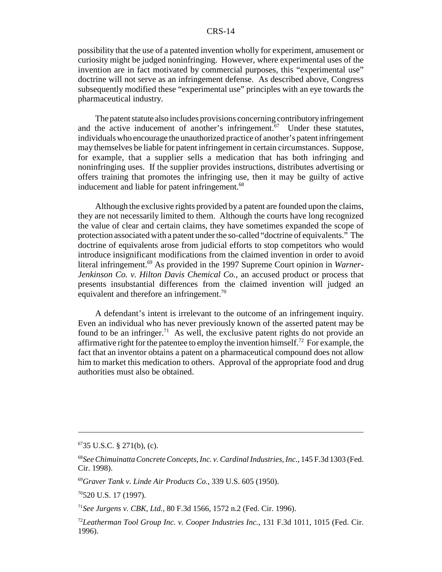possibility that the use of a patented invention wholly for experiment, amusement or curiosity might be judged noninfringing. However, where experimental uses of the invention are in fact motivated by commercial purposes, this "experimental use" doctrine will not serve as an infringement defense. As described above, Congress subsequently modified these "experimental use" principles with an eye towards the pharmaceutical industry.

The patent statute also includes provisions concerning contributory infringement and the active inducement of another's infringement. $67$  Under these statutes, individuals who encourage the unauthorized practice of another's patent infringement may themselves be liable for patent infringement in certain circumstances. Suppose, for example, that a supplier sells a medication that has both infringing and noninfringing uses. If the supplier provides instructions, distributes advertising or offers training that promotes the infringing use, then it may be guilty of active inducement and liable for patent infringement.<sup>68</sup>

Although the exclusive rights provided by a patent are founded upon the claims, they are not necessarily limited to them. Although the courts have long recognized the value of clear and certain claims, they have sometimes expanded the scope of protection associated with a patent under the so-called "doctrine of equivalents." The doctrine of equivalents arose from judicial efforts to stop competitors who would introduce insignificant modifications from the claimed invention in order to avoid literal infringement.69 As provided in the 1997 Supreme Court opinion in *Warner-Jenkinson Co. v. Hilton Davis Chemical Co.*, an accused product or process that presents insubstantial differences from the claimed invention will judged an equivalent and therefore an infringement.<sup>70</sup>

A defendant's intent is irrelevant to the outcome of an infringement inquiry. Even an individual who has never previously known of the asserted patent may be found to be an infringer.<sup>71</sup> As well, the exclusive patent rights do not provide an affirmative right for the patentee to employ the invention himself.<sup>72</sup> For example, the fact that an inventor obtains a patent on a pharmaceutical compound does not allow him to market this medication to others. Approval of the appropriate food and drug authorities must also be obtained.

 $6735$  U.S.C. § 271(b), (c).

<sup>68</sup>*See Chimuinatta Concrete Concepts, Inc. v. Cardinal Industries, Inc.*, 145 F.3d 1303 (Fed. Cir. 1998).

<sup>69</sup>*Graver Tank v. Linde Air Products Co.*, 339 U.S. 605 (1950).

<sup>70520</sup> U.S. 17 (1997).

<sup>71</sup>*See Jurgens v. CBK, Ltd.*, 80 F.3d 1566, 1572 n.2 (Fed. Cir. 1996).

<sup>72</sup>*Leatherman Tool Group Inc. v. Cooper Industries Inc.*, 131 F.3d 1011, 1015 (Fed. Cir. 1996).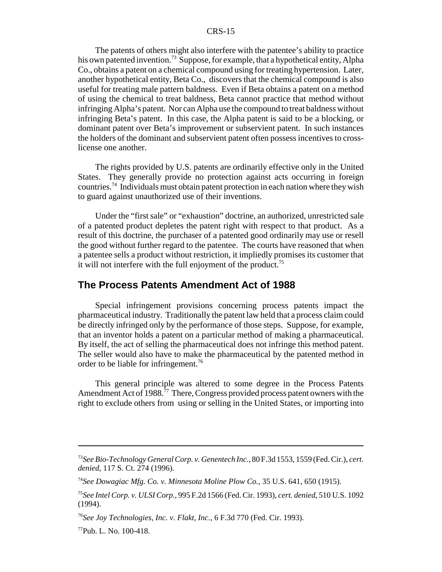The patents of others might also interfere with the patentee's ability to practice his own patented invention.<sup>73</sup> Suppose, for example, that a hypothetical entity, Alpha Co., obtains a patent on a chemical compound using for treating hypertension. Later, another hypothetical entity, Beta Co., discovers that the chemical compound is also useful for treating male pattern baldness. Even if Beta obtains a patent on a method of using the chemical to treat baldness, Beta cannot practice that method without infringing Alpha's patent. Nor can Alpha use the compound to treat baldness without infringing Beta's patent. In this case, the Alpha patent is said to be a blocking, or dominant patent over Beta's improvement or subservient patent. In such instances the holders of the dominant and subservient patent often possess incentives to crosslicense one another.

The rights provided by U.S. patents are ordinarily effective only in the United States. They generally provide no protection against acts occurring in foreign countries.74 Individuals must obtain patent protection in each nation where they wish to guard against unauthorized use of their inventions.

Under the "first sale" or "exhaustion" doctrine, an authorized, unrestricted sale of a patented product depletes the patent right with respect to that product. As a result of this doctrine, the purchaser of a patented good ordinarily may use or resell the good without further regard to the patentee. The courts have reasoned that when a patentee sells a product without restriction, it impliedly promises its customer that it will not interfere with the full enjoyment of the product.<sup>75</sup>

#### **The Process Patents Amendment Act of 1988**

Special infringement provisions concerning process patents impact the pharmaceutical industry. Traditionally the patent law held that a process claim could be directly infringed only by the performance of those steps. Suppose, for example, that an inventor holds a patent on a particular method of making a pharmaceutical. By itself, the act of selling the pharmaceutical does not infringe this method patent. The seller would also have to make the pharmaceutical by the patented method in order to be liable for infringement.<sup>76</sup>

This general principle was altered to some degree in the Process Patents Amendment Act of 1988.<sup>77</sup> There, Congress provided process patent owners with the right to exclude others from using or selling in the United States, or importing into

<sup>73</sup>*See Bio-Technology General Corp. v. Genentech Inc.*, 80 F.3d 1553, 1559 (Fed. Cir.), *cert. denied*, 117 S. Ct. 274 (1996).

<sup>74</sup>*See Dowagiac Mfg. Co. v. Minnesota Moline Plow Co.*, 35 U.S. 641, 650 (1915).

<sup>75</sup>*See Intel Corp. v. ULSI Corp.*, 995 F.2d 1566 (Fed. Cir. 1993), *cert. denied*, 510 U.S. 1092 (1994).

<sup>76</sup>*See Joy Technologies, Inc. v. Flakt, Inc.*, 6 F.3d 770 (Fed. Cir. 1993).

 $^{77}$ Pub. L. No. 100-418.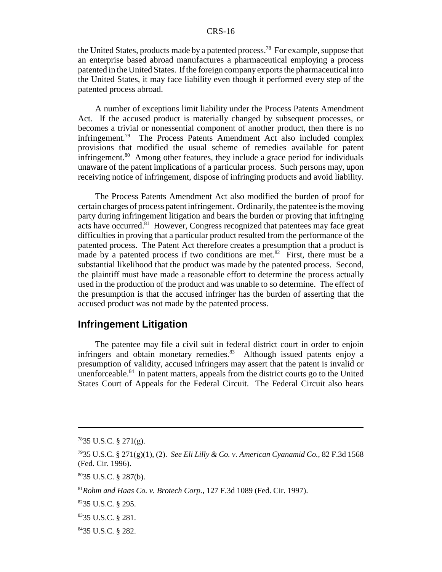the United States, products made by a patented process.78 For example, suppose that an enterprise based abroad manufactures a pharmaceutical employing a process patented in the United States. If the foreign company exports the pharmaceutical into the United States, it may face liability even though it performed every step of the patented process abroad.

A number of exceptions limit liability under the Process Patents Amendment Act. If the accused product is materially changed by subsequent processes, or becomes a trivial or nonessential component of another product, then there is no infringement.<sup>79</sup> The Process Patents Amendment Act also included complex provisions that modified the usual scheme of remedies available for patent infringement.<sup>80</sup> Among other features, they include a grace period for individuals unaware of the patent implications of a particular process. Such persons may, upon receiving notice of infringement, dispose of infringing products and avoid liability.

The Process Patents Amendment Act also modified the burden of proof for certain charges of process patent infringement. Ordinarily, the patentee is the moving party during infringement litigation and bears the burden or proving that infringing acts have occurred.<sup>81</sup> However, Congress recognized that patentees may face great difficulties in proving that a particular product resulted from the performance of the patented process. The Patent Act therefore creates a presumption that a product is made by a patented process if two conditions are met. $82$  First, there must be a substantial likelihood that the product was made by the patented process. Second, the plaintiff must have made a reasonable effort to determine the process actually used in the production of the product and was unable to so determine. The effect of the presumption is that the accused infringer has the burden of asserting that the accused product was not made by the patented process.

#### **Infringement Litigation**

The patentee may file a civil suit in federal district court in order to enjoin infringers and obtain monetary remedies.<sup>83</sup> Although issued patents enjoy a presumption of validity, accused infringers may assert that the patent is invalid or unenforceable. $84$  In patent matters, appeals from the district courts go to the United States Court of Appeals for the Federal Circuit. The Federal Circuit also hears

 $7835$  U.S.C. § 271(g).

<sup>7935</sup> U.S.C. § 271(g)(1), (2). *See Eli Lilly & Co. v. American Cyanamid Co.*, 82 F.3d 1568 (Fed. Cir. 1996).

<sup>8035</sup> U.S.C. § 287(b).

<sup>81</sup>*Rohm and Haas Co. v. Brotech Corp.*, 127 F.3d 1089 (Fed. Cir. 1997).

 $8235$  U.S.C. § 295.

<sup>8335</sup> U.S.C. § 281.

<sup>8435</sup> U.S.C. § 282.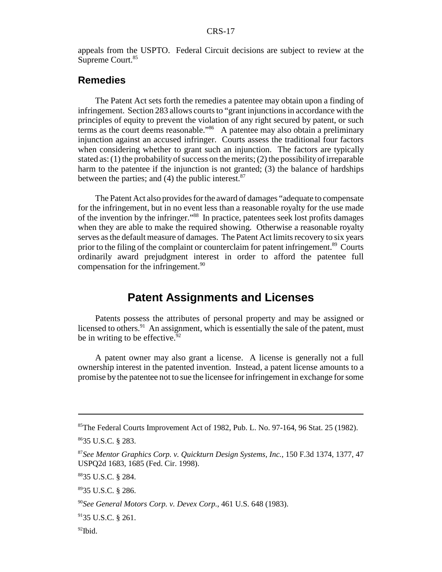appeals from the USPTO. Federal Circuit decisions are subject to review at the Supreme Court.<sup>85</sup>

## **Remedies**

The Patent Act sets forth the remedies a patentee may obtain upon a finding of infringement. Section 283 allows courts to "grant injunctions in accordance with the principles of equity to prevent the violation of any right secured by patent, or such terms as the court deems reasonable."<sup>86</sup> A patentee may also obtain a preliminary injunction against an accused infringer. Courts assess the traditional four factors when considering whether to grant such an injunction. The factors are typically stated as: (1) the probability of success on the merits; (2) the possibility of irreparable harm to the patentee if the injunction is not granted; (3) the balance of hardships between the parties; and  $(4)$  the public interest.<sup>87</sup>

The Patent Act also provides for the award of damages "adequate to compensate for the infringement, but in no event less than a reasonable royalty for the use made of the invention by the infringer."88 In practice, patentees seek lost profits damages when they are able to make the required showing. Otherwise a reasonable royalty serves as the default measure of damages. The Patent Act limits recovery to six years prior to the filing of the complaint or counterclaim for patent infringement.<sup>89</sup> Courts ordinarily award prejudgment interest in order to afford the patentee full compensation for the infringement.<sup>90</sup>

## **Patent Assignments and Licenses**

Patents possess the attributes of personal property and may be assigned or licensed to others. $91$  An assignment, which is essentially the sale of the patent, must be in writing to be effective.  $92$ 

A patent owner may also grant a license. A license is generally not a full ownership interest in the patented invention. Instead, a patent license amounts to a promise by the patentee not to sue the licensee for infringement in exchange for some

 $85$ The Federal Courts Improvement Act of 1982, Pub. L. No. 97-164, 96 Stat. 25 (1982).

<sup>8635</sup> U.S.C. § 283.

<sup>87</sup>*See Mentor Graphics Corp. v. Quickturn Design Systems, Inc.*, 150 F.3d 1374, 1377, 47 USPQ2d 1683, 1685 (Fed. Cir. 1998).

<sup>8835</sup> U.S.C. § 284.

<sup>8935</sup> U.S.C. § 286.

<sup>90</sup>*See General Motors Corp. v. Devex Corp.*, 461 U.S. 648 (1983).

 $9135$  U.S.C. § 261.

 $92$ Ibid.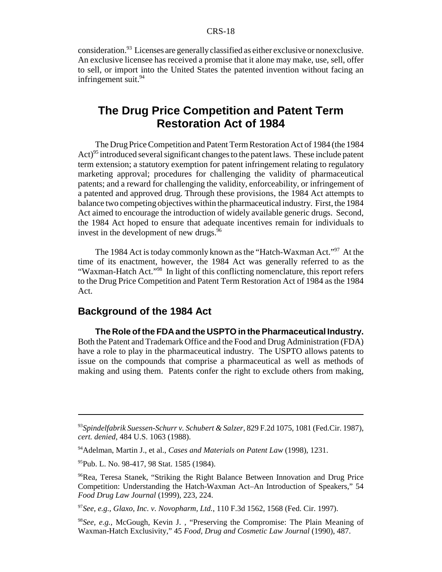consideration.93 Licenses are generally classified as either exclusive or nonexclusive. An exclusive licensee has received a promise that it alone may make, use, sell, offer to sell, or import into the United States the patented invention without facing an infringement suit.<sup>94</sup>

## **The Drug Price Competition and Patent Term Restoration Act of 1984**

The Drug Price Competition and Patent Term Restoration Act of 1984 (the 1984 Act)<sup>95</sup> introduced several significant changes to the patent laws. These include patent term extension; a statutory exemption for patent infringement relating to regulatory marketing approval; procedures for challenging the validity of pharmaceutical patents; and a reward for challenging the validity, enforceability, or infringement of a patented and approved drug. Through these provisions, the 1984 Act attempts to balance two competing objectives within the pharmaceutical industry. First, the 1984 Act aimed to encourage the introduction of widely available generic drugs. Second, the 1984 Act hoped to ensure that adequate incentives remain for individuals to invest in the development of new drugs. $96$ 

The 1984 Act is today commonly known as the "Hatch-Waxman Act."<sup>97</sup> At the time of its enactment, however, the 1984 Act was generally referred to as the "Waxman-Hatch Act."98 In light of this conflicting nomenclature, this report refers to the Drug Price Competition and Patent Term Restoration Act of 1984 as the 1984 Act.

## **Background of the 1984 Act**

**The Role of the FDA and the USPTO in the Pharmaceutical Industry.** Both the Patent and Trademark Office and the Food and Drug Administration (FDA) have a role to play in the pharmaceutical industry. The USPTO allows patents to issue on the compounds that comprise a pharmaceutical as well as methods of making and using them. Patents confer the right to exclude others from making,

<sup>93</sup>*Spindelfabrik Suessen-Schurr v. Schubert & Salzer*, 829 F.2d 1075, 1081 (Fed.Cir. 1987), *cert. denied*, 484 U.S. 1063 (1988).

<sup>94</sup>Adelman, Martin J., et al., *Cases and Materials on Patent Law* (1998), 1231.

<sup>&</sup>lt;sup>95</sup>Pub. L. No. 98-417, 98 Stat. 1585 (1984).

<sup>96</sup>Rea, Teresa Stanek, "Striking the Right Balance Between Innovation and Drug Price Competition: Understanding the Hatch-Waxman Act–An Introduction of Speakers," 54 *Food Drug Law Journal* (1999), 223, 224.

<sup>97</sup>*See, e.g., Glaxo, Inc. v. Novopharm, Ltd.*, 110 F.3d 1562, 1568 (Fed. Cir. 1997).

<sup>98</sup>*See, e.g.,* McGough, Kevin J. , "Preserving the Compromise: The Plain Meaning of Waxman-Hatch Exclusivity," 45 *Food, Drug and Cosmetic Law Journal* (1990), 487.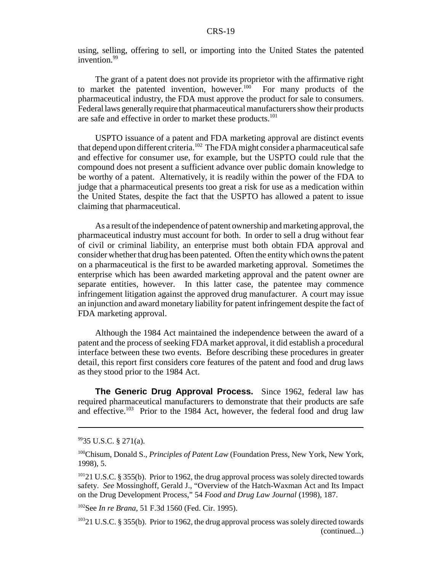using, selling, offering to sell, or importing into the United States the patented invention.<sup>99</sup>

The grant of a patent does not provide its proprietor with the affirmative right to market the patented invention, however.<sup>100</sup> For many products of the pharmaceutical industry, the FDA must approve the product for sale to consumers. Federal laws generally require that pharmaceutical manufacturers show their products are safe and effective in order to market these products.<sup>101</sup>

USPTO issuance of a patent and FDA marketing approval are distinct events that depend upon different criteria.102 The FDA might consider a pharmaceutical safe and effective for consumer use, for example, but the USPTO could rule that the compound does not present a sufficient advance over public domain knowledge to be worthy of a patent. Alternatively, it is readily within the power of the FDA to judge that a pharmaceutical presents too great a risk for use as a medication within the United States, despite the fact that the USPTO has allowed a patent to issue claiming that pharmaceutical.

As a result of the independence of patent ownership and marketing approval, the pharmaceutical industry must account for both. In order to sell a drug without fear of civil or criminal liability, an enterprise must both obtain FDA approval and consider whether that drug has been patented. Often the entity which owns the patent on a pharmaceutical is the first to be awarded marketing approval. Sometimes the enterprise which has been awarded marketing approval and the patent owner are separate entities, however. In this latter case, the patentee may commence infringement litigation against the approved drug manufacturer. A court may issue an injunction and award monetary liability for patent infringement despite the fact of FDA marketing approval.

Although the 1984 Act maintained the independence between the award of a patent and the process of seeking FDA market approval, it did establish a procedural interface between these two events. Before describing these procedures in greater detail, this report first considers core features of the patent and food and drug laws as they stood prior to the 1984 Act.

**The Generic Drug Approval Process.** Since 1962, federal law has required pharmaceutical manufacturers to demonstrate that their products are safe and effective.103 Prior to the 1984 Act, however, the federal food and drug law

 $9935$  U.S.C. § 271(a).

<sup>100</sup>Chisum, Donald S., *Principles of Patent Law* (Foundation Press, New York, New York, 1998), 5.

<sup>&</sup>lt;sup>101</sup>21 U.S.C. § 355(b). Prior to 1962, the drug approval process was solely directed towards safety. *See* Mossinghoff, Gerald J., "Overview of the Hatch-Waxman Act and Its Impact on the Drug Development Process," 54 *Food and Drug Law Journal* (1998), 187.

<sup>102</sup>See *In re Brana*, 51 F.3d 1560 (Fed. Cir. 1995).

<sup>&</sup>lt;sup>103</sup>21 U.S.C. § 355(b). Prior to 1962, the drug approval process was solely directed towards (continued...)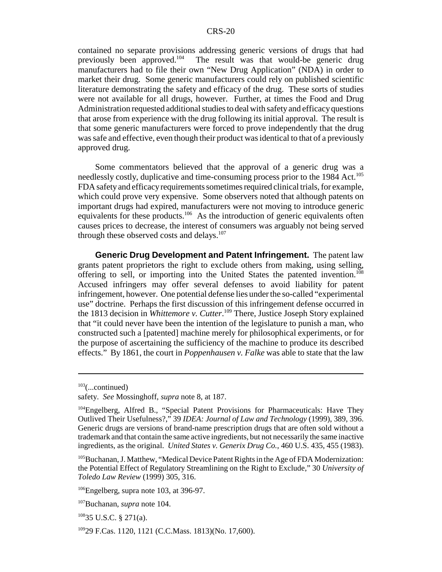contained no separate provisions addressing generic versions of drugs that had previously been approved.104 The result was that would-be generic drug manufacturers had to file their own "New Drug Application" (NDA) in order to market their drug. Some generic manufacturers could rely on published scientific literature demonstrating the safety and efficacy of the drug. These sorts of studies were not available for all drugs, however. Further, at times the Food and Drug Administration requested additional studies to deal with safety and efficacy questions that arose from experience with the drug following its initial approval. The result is that some generic manufacturers were forced to prove independently that the drug was safe and effective, even though their product was identical to that of a previously approved drug.

Some commentators believed that the approval of a generic drug was a needlessly costly, duplicative and time-consuming process prior to the 1984 Act.<sup>105</sup> FDA safety and efficacy requirements sometimes required clinical trials, for example, which could prove very expensive. Some observers noted that although patents on important drugs had expired, manufacturers were not moving to introduce generic equivalents for these products.<sup>106</sup> As the introduction of generic equivalents often causes prices to decrease, the interest of consumers was arguably not being served through these observed costs and delays.<sup>107</sup>

**Generic Drug Development and Patent Infringement.** The patent law grants patent proprietors the right to exclude others from making, using selling, offering to sell, or importing into the United States the patented invention.<sup>108</sup> Accused infringers may offer several defenses to avoid liability for patent infringement, however. One potential defense lies under the so-called "experimental use" doctrine. Perhaps the first discussion of this infringement defense occurred in the 1813 decision in *Whittemore v. Cutter*. 109 There, Justice Joseph Story explained that "it could never have been the intention of the legislature to punish a man, who constructed such a [patented] machine merely for philosophical experiments, or for the purpose of ascertaining the sufficiency of the machine to produce its described effects." By 1861, the court in *Poppenhausen v. Falke* was able to state that the law

 $103$ (...continued)

safety. *See* Mossinghoff, *supra* note 8, at 187.

<sup>104</sup>Engelberg, Alfred B., "Special Patent Provisions for Pharmaceuticals: Have They Outlived Their Usefulness?," 39 *IDEA: Journal of Law and Technology* (1999), 389, 396. Generic drugs are versions of brand-name prescription drugs that are often sold without a trademark and that contain the same active ingredients, but not necessarily the same inactive ingredients, as the original. *United States v. Generix Drug Co.*, 460 U.S. 435, 455 (1983).

<sup>&</sup>lt;sup>105</sup>Buchanan, J. Matthew, "Medical Device Patent Rights in the Age of FDA Modernization: the Potential Effect of Regulatory Streamlining on the Right to Exclude," 30 *University of Toledo Law Review* (1999) 305, 316.

 $106$ Engelberg, supra note 103, at 396-97.

<sup>107</sup>Buchanan, *supra* note 104.

 $10835$  U.S.C. § 271(a).

<sup>10929</sup> F.Cas. 1120, 1121 (C.C.Mass. 1813)(No. 17,600).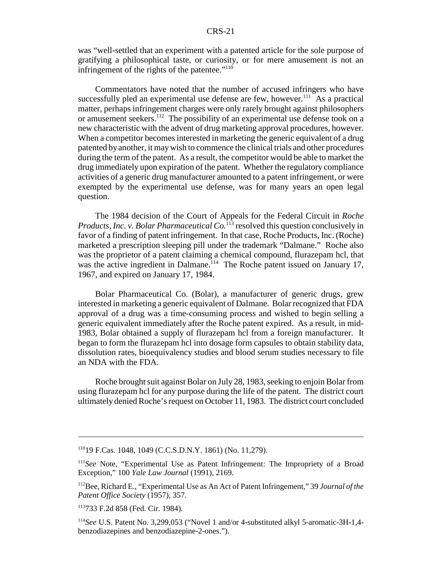was "well-settled that an experiment with a patented article for the sole purpose of gratifying a philosophical taste, or curiosity, or for mere amusement is not an infringement of the rights of the patentee."110

Commentators have noted that the number of accused infringers who have successfully pled an experimental use defense are few, however.<sup>111</sup> As a practical matter, perhaps infringement charges were only rarely brought against philosophers or amusement seekers.<sup>112</sup> The possibility of an experimental use defense took on a new characteristic with the advent of drug marketing approval procedures, however. When a competitor becomes interested in marketing the generic equivalent of a drug patented by another, it may wish to commence the clinical trials and other procedures during the term of the patent. As a result, the competitor would be able to market the drug immediately upon expiration of the patent. Whether the regulatory compliance activities of a generic drug manufacturer amounted to a patent infringement, or were exempted by the experimental use defense, was for many years an open legal question.

The 1984 decision of the Court of Appeals for the Federal Circuit in *Roche Products, Inc. v. Bolar Pharmaceutical Co.*<sup>113</sup> resolved this question conclusively in favor of a finding of patent infringement. In that case, Roche Products, Inc. (Roche) marketed a prescription sleeping pill under the trademark "Dalmane." Roche also was the proprietor of a patent claiming a chemical compound, flurazepam hcl, that was the active ingredient in Dalmane.<sup>114</sup> The Roche patent issued on January 17, 1967, and expired on January 17, 1984.

Bolar Pharmaceutical Co. (Bolar), a manufacturer of generic drugs, grew interested in marketing a generic equivalent of Dalmane. Bolar recognized that FDA approval of a drug was a time-consuming process and wished to begin selling a generic equivalent immediately after the Roche patent expired. As a result, in mid-1983, Bolar obtained a supply of flurazepam hcl from a foreign manufacturer. It began to form the flurazepam hcl into dosage form capsules to obtain stability data, dissolution rates, bioequivalency studies and blood serum studies necessary to file an NDA with the FDA.

Roche brought suit against Bolar on July 28, 1983, seeking to enjoin Bolar from using flurazepam hcl for any purpose during the life of the patent. The district court ultimately denied Roche's request on October 11, 1983. The district court concluded

<sup>11019</sup> F.Cas. 1048, 1049 (C.C.S.D.N.Y. 1861) (No. 11,279).

<sup>111</sup>*See* Note, "Experimental Use as Patent Infringement: The Impropriety of a Broad Exception," 100 *Yale Law Journal* (1991), 2169.

<sup>112</sup>Bee, Richard E., "Experimental Use as An Act of Patent Infringement," 39 *Journal of the Patent Office Society* (1957), 357.

<sup>113733</sup> F.2d 858 (Fed. Cir. 1984).

<sup>114</sup>*See* U.S. Patent No. 3,299,053 ("Novel 1 and/or 4-substituted alkyl 5-aromatic-3H-1,4 benzodiazepines and benzodiazepine-2-ones.").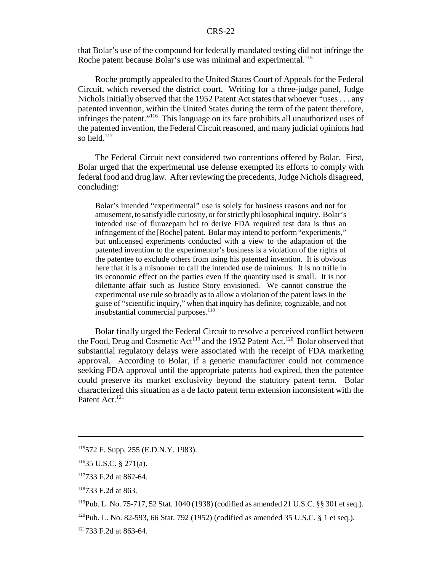that Bolar's use of the compound for federally mandated testing did not infringe the Roche patent because Bolar's use was minimal and experimental.<sup>115</sup>

Roche promptly appealed to the United States Court of Appeals for the Federal Circuit, which reversed the district court. Writing for a three-judge panel, Judge Nichols initially observed that the 1952 Patent Act states that whoever "uses . . . any patented invention, within the United States during the term of the patent therefore, infringes the patent."116 This language on its face prohibits all unauthorized uses of the patented invention, the Federal Circuit reasoned, and many judicial opinions had so held. $117$ 

The Federal Circuit next considered two contentions offered by Bolar. First, Bolar urged that the experimental use defense exempted its efforts to comply with federal food and drug law. After reviewing the precedents, Judge Nichols disagreed, concluding:

Bolar's intended "experimental" use is solely for business reasons and not for amusement, to satisfy idle curiosity, or for strictly philosophical inquiry. Bolar's intended use of flurazepam hcl to derive FDA required test data is thus an infringement of the [Roche] patent. Bolar may intend to perform "experiments," but unlicensed experiments conducted with a view to the adaptation of the patented invention to the experimentor's business is a violation of the rights of the patentee to exclude others from using his patented invention. It is obvious here that it is a misnomer to call the intended use de minimus. It is no trifle in its economic effect on the parties even if the quantity used is small. It is not dilettante affair such as Justice Story envisioned. We cannot construe the experimental use rule so broadly as to allow a violation of the patent laws in the guise of "scientific inquiry," when that inquiry has definite, cognizable, and not insubstantial commercial purposes.<sup>118</sup>

Bolar finally urged the Federal Circuit to resolve a perceived conflict between the Food, Drug and Cosmetic  $Act^{119}$  and the 1952 Patent Act.<sup>120</sup> Bolar observed that substantial regulatory delays were associated with the receipt of FDA marketing approval. According to Bolar, if a generic manufacturer could not commence seeking FDA approval until the appropriate patents had expired, then the patentee could preserve its market exclusivity beyond the statutory patent term. Bolar characterized this situation as a de facto patent term extension inconsistent with the Patent Act.<sup>121</sup>

<sup>115572</sup> F. Supp. 255 (E.D.N.Y. 1983).

<sup>11635</sup> U.S.C. § 271(a).

 $117733$  F.2d at 862-64.

 $118733$  F.2d at 863.

 $^{119}$ Pub. L. No. 75-717, 52 Stat. 1040 (1938) (codified as amended 21 U.S.C. §§ 301 et seq.).

 $120$ Pub. L. No. 82-593, 66 Stat. 792 (1952) (codified as amended 35 U.S.C. § 1 et seq.).

<sup>121733</sup> F.2d at 863-64.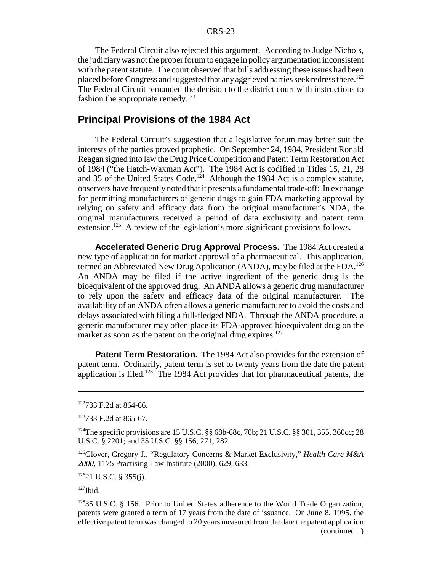The Federal Circuit also rejected this argument. According to Judge Nichols, the judiciary was not the proper forum to engage in policy argumentation inconsistent with the patent statute. The court observed that bills addressing these issues had been placed before Congress and suggested that any aggrieved parties seek redress there.<sup>122</sup> The Federal Circuit remanded the decision to the district court with instructions to fashion the appropriate remedy.<sup>123</sup>

## **Principal Provisions of the 1984 Act**

The Federal Circuit's suggestion that a legislative forum may better suit the interests of the parties proved prophetic. On September 24, 1984, President Ronald Reagan signed into law the Drug Price Competition and Patent Term Restoration Act of 1984 ("the Hatch-Waxman Act"). The 1984 Act is codified in Titles 15, 21, 28 and 35 of the United States Code.<sup>124</sup> Although the 1984 Act is a complex statute, observers have frequently noted that it presents a fundamental trade-off: In exchange for permitting manufacturers of generic drugs to gain FDA marketing approval by relying on safety and efficacy data from the original manufacturer's NDA, the original manufacturers received a period of data exclusivity and patent term extension.<sup>125</sup> A review of the legislation's more significant provisions follows.

**Accelerated Generic Drug Approval Process.** The 1984 Act created a new type of application for market approval of a pharmaceutical. This application, termed an Abbreviated New Drug Application (ANDA), may be filed at the FDA.<sup>126</sup> An ANDA may be filed if the active ingredient of the generic drug is the bioequivalent of the approved drug. An ANDA allows a generic drug manufacturer to rely upon the safety and efficacy data of the original manufacturer. The availability of an ANDA often allows a generic manufacturer to avoid the costs and delays associated with filing a full-fledged NDA. Through the ANDA procedure, a generic manufacturer may often place its FDA-approved bioequivalent drug on the market as soon as the patent on the original drug expires. $127$ 

**Patent Term Restoration.** The 1984 Act also provides for the extension of patent term. Ordinarily, patent term is set to twenty years from the date the patent application is filed.128 The 1984 Act provides that for pharmaceutical patents, the

 $12621$  U.S.C. § 355(j).

 $127$ Ibid.

<sup>122733</sup> F.2d at 864-66.

<sup>123733</sup> F.2d at 865-67.

<sup>&</sup>lt;sup>124</sup>The specific provisions are 15 U.S.C. §§ 68b-68c, 70b; 21 U.S.C. §§ 301, 355, 360cc; 28 U.S.C. § 2201; and 35 U.S.C. §§ 156, 271, 282.

<sup>125</sup>Glover, Gregory J., "Regulatory Concerns & Market Exclusivity," *Health Care M&A 2000*, 1175 Practising Law Institute (2000), 629, 633.

<sup>&</sup>lt;sup>128</sup>35 U.S.C. § 156. Prior to United States adherence to the World Trade Organization, patents were granted a term of 17 years from the date of issuance. On June 8, 1995, the effective patent term was changed to 20 years measured from the date the patent application (continued...)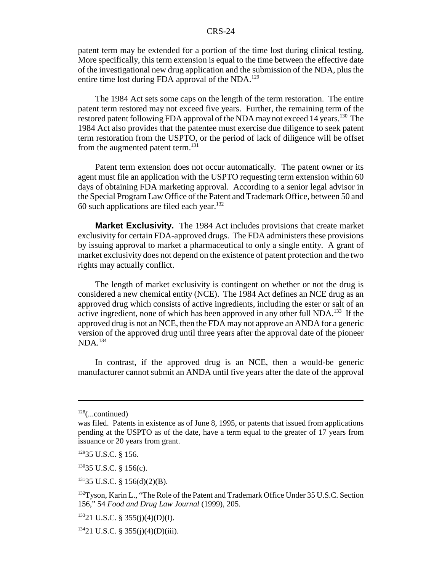patent term may be extended for a portion of the time lost during clinical testing. More specifically, this term extension is equal to the time between the effective date of the investigational new drug application and the submission of the NDA, plus the entire time lost during FDA approval of the NDA.<sup>129</sup>

The 1984 Act sets some caps on the length of the term restoration. The entire patent term restored may not exceed five years. Further, the remaining term of the restored patent following FDA approval of the NDA may not exceed 14 years.<sup>130</sup> The 1984 Act also provides that the patentee must exercise due diligence to seek patent term restoration from the USPTO, or the period of lack of diligence will be offset from the augmented patent term.<sup>131</sup>

Patent term extension does not occur automatically. The patent owner or its agent must file an application with the USPTO requesting term extension within 60 days of obtaining FDA marketing approval. According to a senior legal advisor in the Special Program Law Office of the Patent and Trademark Office, between 50 and 60 such applications are filed each year. $132$ 

**Market Exclusivity.** The 1984 Act includes provisions that create market exclusivity for certain FDA-approved drugs. The FDA administers these provisions by issuing approval to market a pharmaceutical to only a single entity. A grant of market exclusivity does not depend on the existence of patent protection and the two rights may actually conflict.

The length of market exclusivity is contingent on whether or not the drug is considered a new chemical entity (NCE). The 1984 Act defines an NCE drug as an approved drug which consists of active ingredients, including the ester or salt of an active ingredient, none of which has been approved in any other full NDA.<sup>133</sup> If the approved drug is not an NCE, then the FDA may not approve an ANDA for a generic version of the approved drug until three years after the approval date of the pioneer NDA.134

In contrast, if the approved drug is an NCE, then a would-be generic manufacturer cannot submit an ANDA until five years after the date of the approval

 $128$ (...continued)

was filed. Patents in existence as of June 8, 1995, or patents that issued from applications pending at the USPTO as of the date, have a term equal to the greater of 17 years from issuance or 20 years from grant.

<sup>12935</sup> U.S.C. § 156.

 $13035$  U.S.C. § 156(c).

 $13135$  U.S.C. § 156(d)(2)(B).

<sup>&</sup>lt;sup>132</sup>Tyson, Karin L., "The Role of the Patent and Trademark Office Under 35 U.S.C. Section 156," 54 *Food and Drug Law Journal* (1999), 205.

 $13321$  U.S.C. § 355(j)(4)(D)(I).

 $13421$  U.S.C. § 355(j)(4)(D)(iii).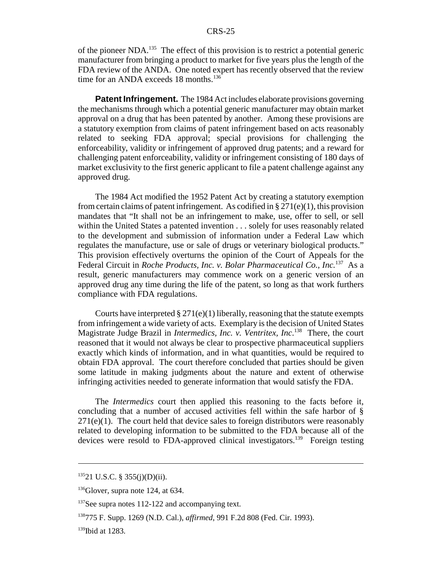of the pioneer NDA.135 The effect of this provision is to restrict a potential generic manufacturer from bringing a product to market for five years plus the length of the FDA review of the ANDA. One noted expert has recently observed that the review time for an ANDA exceeds 18 months.<sup>136</sup>

**Patent Infringement.** The 1984 Act includes elaborate provisions governing the mechanisms through which a potential generic manufacturer may obtain market approval on a drug that has been patented by another. Among these provisions are a statutory exemption from claims of patent infringement based on acts reasonably related to seeking FDA approval; special provisions for challenging the enforceability, validity or infringement of approved drug patents; and a reward for challenging patent enforceability, validity or infringement consisting of 180 days of market exclusivity to the first generic applicant to file a patent challenge against any approved drug.

The 1984 Act modified the 1952 Patent Act by creating a statutory exemption from certain claims of patent infringement. As codified in  $\S 271(e)(1)$ , this provision mandates that "It shall not be an infringement to make, use, offer to sell, or sell within the United States a patented invention . . . solely for uses reasonably related to the development and submission of information under a Federal Law which regulates the manufacture, use or sale of drugs or veterinary biological products." This provision effectively overturns the opinion of the Court of Appeals for the Federal Circuit in *Roche Products, Inc. v. Bolar Pharmaceutical Co., Inc.*137 As a result, generic manufacturers may commence work on a generic version of an approved drug any time during the life of the patent, so long as that work furthers compliance with FDA regulations.

Courts have interpreted  $\S 271(e)(1)$  liberally, reasoning that the statute exempts from infringement a wide variety of acts. Exemplary is the decision of United States Magistrate Judge Brazil in *Intermedics, Inc. v. Ventritex, Inc*. 138 There, the court reasoned that it would not always be clear to prospective pharmaceutical suppliers exactly which kinds of information, and in what quantities, would be required to obtain FDA approval. The court therefore concluded that parties should be given some latitude in making judgments about the nature and extent of otherwise infringing activities needed to generate information that would satisfy the FDA.

The *Intermedics* court then applied this reasoning to the facts before it, concluding that a number of accused activities fell within the safe harbor of §  $271(e)(1)$ . The court held that device sales to foreign distributors were reasonably related to developing information to be submitted to the FDA because all of the devices were resold to FDA-approved clinical investigators.<sup>139</sup> Foreign testing

 $13521$  U.S.C. § 355(j)(D)(ii).

 $136$ Glover, supra note 124, at 634.

 $137$ See supra notes 112-122 and accompanying text.

<sup>138775</sup> F. Supp. 1269 (N.D. Cal.), *affirmed*, 991 F.2d 808 (Fed. Cir. 1993).

 $139$ Ibid at 1283.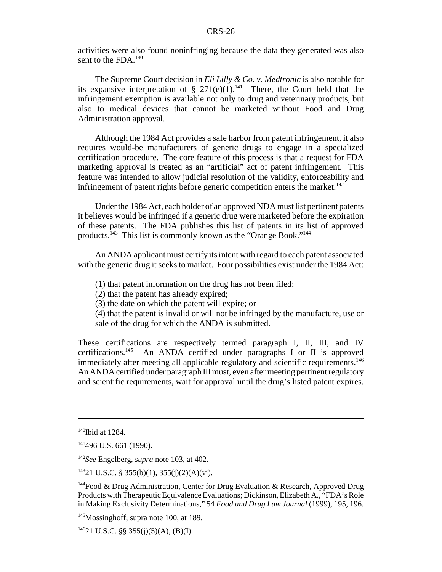activities were also found noninfringing because the data they generated was also sent to the FDA.<sup>140</sup>

The Supreme Court decision in *Eli Lilly & Co. v. Medtronic* is also notable for its expansive interpretation of § 271(e)(1).<sup>141</sup> There, the Court held that the infringement exemption is available not only to drug and veterinary products, but also to medical devices that cannot be marketed without Food and Drug Administration approval.

Although the 1984 Act provides a safe harbor from patent infringement, it also requires would-be manufacturers of generic drugs to engage in a specialized certification procedure. The core feature of this process is that a request for FDA marketing approval is treated as an "artificial" act of patent infringement. This feature was intended to allow judicial resolution of the validity, enforceability and infringement of patent rights before generic competition enters the market.<sup>142</sup>

Under the 1984 Act, each holder of an approved NDA must list pertinent patents it believes would be infringed if a generic drug were marketed before the expiration of these patents. The FDA publishes this list of patents in its list of approved products.<sup>143</sup> This list is commonly known as the "Orange Book."<sup>144</sup>

An ANDA applicant must certify its intent with regard to each patent associated with the generic drug it seeks to market. Four possibilities exist under the 1984 Act:

(1) that patent information on the drug has not been filed;

(2) that the patent has already expired;

(3) the date on which the patent will expire; or

(4) that the patent is invalid or will not be infringed by the manufacture, use or sale of the drug for which the ANDA is submitted.

These certifications are respectively termed paragraph I, II, III, and IV certifications.145 An ANDA certified under paragraphs I or II is approved immediately after meeting all applicable regulatory and scientific requirements.<sup>146</sup> An ANDA certified under paragraph III must, even after meeting pertinent regulatory and scientific requirements, wait for approval until the drug's listed patent expires.

 $140$ Ibid at 1284.

<sup>&</sup>lt;sup>141</sup>496 U.S. 661 (1990).

<sup>142</sup>*See* Engelberg, *supra* note 103, at 402.

<sup>14321</sup> U.S.C. § 355(b)(1), 355(j)(2)(A)(vi).

<sup>&</sup>lt;sup>144</sup>Food & Drug Administration, Center for Drug Evaluation & Research, Approved Drug Products with Therapeutic Equivalence Evaluations; Dickinson, Elizabeth A., "FDA's Role in Making Exclusivity Determinations," 54 *Food and Drug Law Journal* (1999), 195, 196.

<sup>&</sup>lt;sup>145</sup>Mossinghoff, supra note 100, at 189.

 $14621$  U.S.C. §§ 355(j)(5)(A), (B)(I).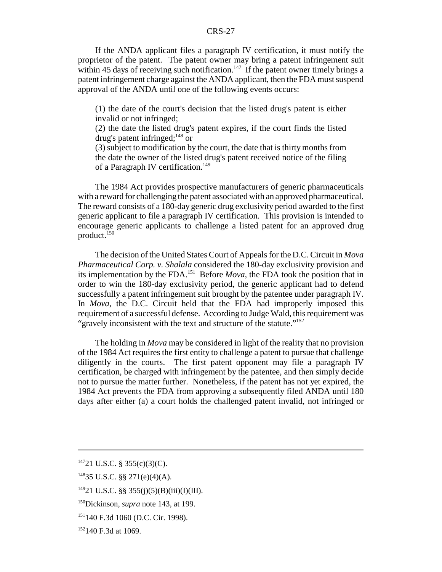If the ANDA applicant files a paragraph IV certification, it must notify the proprietor of the patent. The patent owner may bring a patent infringement suit within 45 days of receiving such notification.<sup>147</sup> If the patent owner timely brings a patent infringement charge against the ANDA applicant, then the FDA must suspend approval of the ANDA until one of the following events occurs:

(1) the date of the court's decision that the listed drug's patent is either invalid or not infringed;

(2) the date the listed drug's patent expires, if the court finds the listed drug's patent infringed; $^{148}$  or

(3) subject to modification by the court, the date that is thirty months from the date the owner of the listed drug's patent received notice of the filing of a Paragraph IV certification.<sup>149</sup>

The 1984 Act provides prospective manufacturers of generic pharmaceuticals with a reward for challenging the patent associated with an approved pharmaceutical. The reward consists of a 180-day generic drug exclusivity period awarded to the first generic applicant to file a paragraph IV certification. This provision is intended to encourage generic applicants to challenge a listed patent for an approved drug product.<sup>150</sup>

The decision of the United States Court of Appeals for the D.C. Circuit in *Mova Pharmaceutical Corp. v. Shalala* considered the 180-day exclusivity provision and its implementation by the FDA.151 Before *Mova*, the FDA took the position that in order to win the 180-day exclusivity period, the generic applicant had to defend successfully a patent infringement suit brought by the patentee under paragraph IV. In *Mova*, the D.C. Circuit held that the FDA had improperly imposed this requirement of a successful defense. According to Judge Wald, this requirement was "gravely inconsistent with the text and structure of the statute."<sup>152</sup>

The holding in *Mova* may be considered in light of the reality that no provision of the 1984 Act requires the first entity to challenge a patent to pursue that challenge diligently in the courts. The first patent opponent may file a paragraph IV certification, be charged with infringement by the patentee, and then simply decide not to pursue the matter further. Nonetheless, if the patent has not yet expired, the 1984 Act prevents the FDA from approving a subsequently filed ANDA until 180 days after either (a) a court holds the challenged patent invalid, not infringed or

 $14721$  U.S.C. § 355(c)(3)(C).

<sup>14835</sup> U.S.C. §§ 271(e)(4)(A).

 $14921$  U.S.C. §§ 355(j)(5)(B)(iii)(I)(III).

<sup>150</sup>Dickinson, *supra* note 143, at 199.

<sup>151140</sup> F.3d 1060 (D.C. Cir. 1998).

<sup>&</sup>lt;sup>152</sup>140 F.3d at 1069.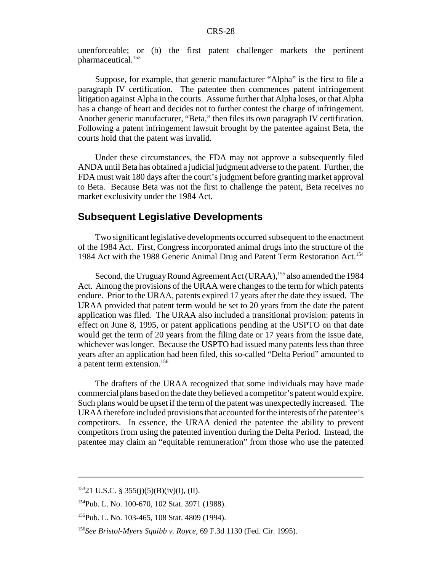unenforceable; or (b) the first patent challenger markets the pertinent pharmaceutical.<sup>153</sup>

Suppose, for example, that generic manufacturer "Alpha" is the first to file a paragraph IV certification. The patentee then commences patent infringement litigation against Alpha in the courts. Assume further that Alpha loses, or that Alpha has a change of heart and decides not to further contest the charge of infringement. Another generic manufacturer, "Beta," then files its own paragraph IV certification. Following a patent infringement lawsuit brought by the patentee against Beta, the courts hold that the patent was invalid.

Under these circumstances, the FDA may not approve a subsequently filed ANDA until Beta has obtained a judicial judgment adverse to the patent. Further, the FDA must wait 180 days after the court's judgment before granting market approval to Beta. Because Beta was not the first to challenge the patent, Beta receives no market exclusivity under the 1984 Act.

### **Subsequent Legislative Developments**

Two significant legislative developments occurred subsequent to the enactment of the 1984 Act. First, Congress incorporated animal drugs into the structure of the 1984 Act with the 1988 Generic Animal Drug and Patent Term Restoration Act.<sup>154</sup>

Second, the Uruguay Round Agreement Act (URAA),<sup>155</sup> also amended the 1984 Act. Among the provisions of the URAA were changes to the term for which patents endure. Prior to the URAA, patents expired 17 years after the date they issued. The URAA provided that patent term would be set to 20 years from the date the patent application was filed. The URAA also included a transitional provision: patents in effect on June 8, 1995, or patent applications pending at the USPTO on that date would get the term of 20 years from the filing date or 17 years from the issue date, whichever was longer. Because the USPTO had issued many patents less than three years after an application had been filed, this so-called "Delta Period" amounted to a patent term extension.156

The drafters of the URAA recognized that some individuals may have made commercial plans based on the date they believed a competitor's patent would expire. Such plans would be upset if the term of the patent was unexpectedly increased. The URAA therefore included provisions that accounted for the interests of the patentee's competitors. In essence, the URAA denied the patentee the ability to prevent competitors from using the patented invention during the Delta Period. Instead, the patentee may claim an "equitable remuneration" from those who use the patented

 $15321$  U.S.C. § 355(j)(5)(B)(iv)(I), (II).

<sup>154</sup>Pub. L. No. 100-670, 102 Stat. 3971 (1988).

<sup>155</sup>Pub. L. No. 103-465, 108 Stat. 4809 (1994).

<sup>156</sup>*See Bristol-Myers Squibb v. Royce*, 69 F.3d 1130 (Fed. Cir. 1995).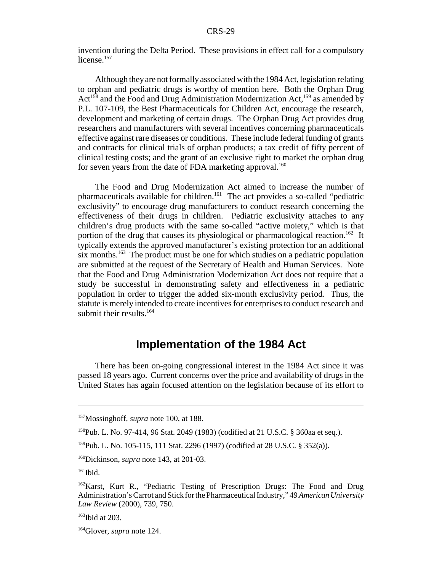invention during the Delta Period. These provisions in effect call for a compulsory license.<sup>157</sup>

Although they are not formally associated with the 1984 Act, legislation relating to orphan and pediatric drugs is worthy of mention here. Both the Orphan Drug Act<sup>158</sup> and the Food and Drug Administration Modernization Act,<sup>159</sup> as amended by P.L. 107-109, the Best Pharmaceuticals for Children Act, encourage the research, development and marketing of certain drugs. The Orphan Drug Act provides drug researchers and manufacturers with several incentives concerning pharmaceuticals effective against rare diseases or conditions. These include federal funding of grants and contracts for clinical trials of orphan products; a tax credit of fifty percent of clinical testing costs; and the grant of an exclusive right to market the orphan drug for seven years from the date of FDA marketing approval.<sup>160</sup>

The Food and Drug Modernization Act aimed to increase the number of pharmaceuticals available for children.161 The act provides a so-called "pediatric exclusivity" to encourage drug manufacturers to conduct research concerning the effectiveness of their drugs in children. Pediatric exclusivity attaches to any children's drug products with the same so-called "active moiety," which is that portion of the drug that causes its physiological or pharmacological reaction.<sup>162</sup> It typically extends the approved manufacturer's existing protection for an additional six months.<sup>163</sup> The product must be one for which studies on a pediatric population are submitted at the request of the Secretary of Health and Human Services. Note that the Food and Drug Administration Modernization Act does not require that a study be successful in demonstrating safety and effectiveness in a pediatric population in order to trigger the added six-month exclusivity period. Thus, the statute is merely intended to create incentives for enterprises to conduct research and submit their results. $164$ 

## **Implementation of the 1984 Act**

There has been on-going congressional interest in the 1984 Act since it was passed 18 years ago. Current concerns over the price and availability of drugs in the United States has again focused attention on the legislation because of its effort to

<sup>157</sup>Mossinghoff, *supra* note 100, at 188.

<sup>158</sup>Pub. L. No. 97-414, 96 Stat. 2049 (1983) (codified at 21 U.S.C. § 360aa et seq.).

<sup>159</sup>Pub. L. No. 105-115, 111 Stat. 2296 (1997) (codified at 28 U.S.C. § 352(a)).

<sup>160</sup>Dickinson, *supra* note 143, at 201-03.

 $161$ Ibid.

<sup>&</sup>lt;sup>162</sup>Karst, Kurt R., "Pediatric Testing of Prescription Drugs: The Food and Drug Administration's Carrot and Stick for the Pharmaceutical Industry," 49 *American University Law Review* (2000), 739, 750.

 $163$  Ibid at 203.

<sup>164</sup>Glover, *supra* note 124.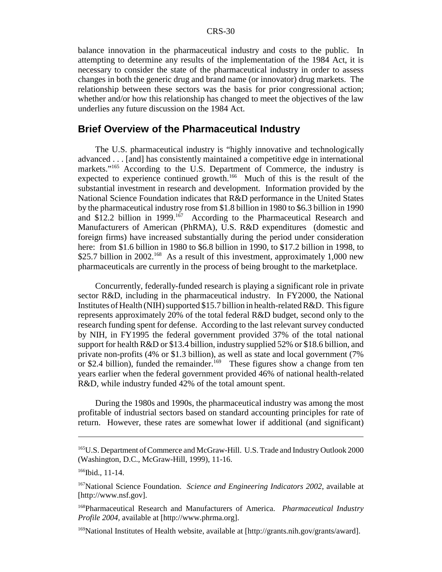balance innovation in the pharmaceutical industry and costs to the public. In attempting to determine any results of the implementation of the 1984 Act, it is necessary to consider the state of the pharmaceutical industry in order to assess changes in both the generic drug and brand name (or innovator) drug markets. The relationship between these sectors was the basis for prior congressional action; whether and/or how this relationship has changed to meet the objectives of the law underlies any future discussion on the 1984 Act.

### **Brief Overview of the Pharmaceutical Industry**

The U.S. pharmaceutical industry is "highly innovative and technologically advanced . . . [and] has consistently maintained a competitive edge in international markets."<sup>165</sup> According to the U.S. Department of Commerce, the industry is expected to experience continued growth.<sup>166</sup> Much of this is the result of the substantial investment in research and development. Information provided by the National Science Foundation indicates that R&D performance in the United States by the pharmaceutical industry rose from \$1.8 billion in 1980 to \$6.3 billion in 1990 and  $$12.2$  billion in 1999.<sup>167</sup> According to the Pharmaceutical Research and Manufacturers of American (PhRMA), U.S. R&D expenditures (domestic and foreign firms) have increased substantially during the period under consideration here: from \$1.6 billion in 1980 to \$6.8 billion in 1990, to \$17.2 billion in 1998, to \$25.7 billion in 2002.<sup>168</sup> As a result of this investment, approximately 1,000 new pharmaceuticals are currently in the process of being brought to the marketplace.

Concurrently, federally-funded research is playing a significant role in private sector R&D, including in the pharmaceutical industry. In FY2000, the National Institutes of Health (NIH) supported \$15.7 billion in health-related R&D. This figure represents approximately 20% of the total federal R&D budget, second only to the research funding spent for defense. According to the last relevant survey conducted by NIH, in FY1995 the federal government provided 37% of the total national support for health R&D or \$13.4 billion, industry supplied 52% or \$18.6 billion, and private non-profits (4% or \$1.3 billion), as well as state and local government (7% or \$2.4 billion), funded the remainder.<sup>169</sup> These figures show a change from ten years earlier when the federal government provided 46% of national health-related R&D, while industry funded 42% of the total amount spent.

During the 1980s and 1990s, the pharmaceutical industry was among the most profitable of industrial sectors based on standard accounting principles for rate of return. However, these rates are somewhat lower if additional (and significant)

<sup>165</sup>U.S. Department of Commerce and McGraw-Hill. U.S. Trade and Industry Outlook 2000 (Washington, D.C., McGraw-Hill, 1999), 11-16.

<sup>&</sup>lt;sup>166</sup>Ibid., 11-14.

<sup>167</sup>National Science Foundation. *Science and Engineering Indicators 2002*, available at [http://www.nsf.gov].

<sup>168</sup>Pharmaceutical Research and Manufacturers of America. *Pharmaceutical Industry Profile 2004,* available at [http://www.phrma.org].

<sup>&</sup>lt;sup>169</sup>National Institutes of Health website, available at [http://grants.nih.gov/grants/award].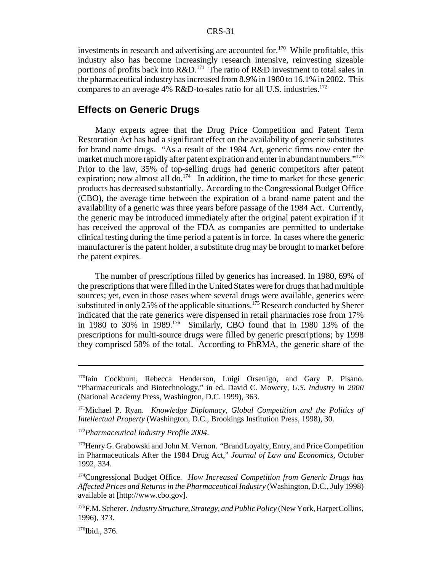investments in research and advertising are accounted for.<sup>170</sup> While profitable, this industry also has become increasingly research intensive, reinvesting sizeable portions of profits back into  $R&D<sup>171</sup>$  The ratio of  $R&D$  investment to total sales in the pharmaceutical industry has increased from 8.9% in 1980 to 16.1% in 2002. This compares to an average 4% R&D-to-sales ratio for all U.S. industries.<sup>172</sup>

#### **Effects on Generic Drugs**

Many experts agree that the Drug Price Competition and Patent Term Restoration Act has had a significant effect on the availability of generic substitutes for brand name drugs. "As a result of the 1984 Act, generic firms now enter the market much more rapidly after patent expiration and enter in abundant numbers."<sup>173</sup> Prior to the law, 35% of top-selling drugs had generic competitors after patent expiration; now almost all do.<sup>174</sup> In addition, the time to market for these generic products has decreased substantially. According to the Congressional Budget Office (CBO), the average time between the expiration of a brand name patent and the availability of a generic was three years before passage of the 1984 Act. Currently, the generic may be introduced immediately after the original patent expiration if it has received the approval of the FDA as companies are permitted to undertake clinical testing during the time period a patent is in force. In cases where the generic manufacturer is the patent holder, a substitute drug may be brought to market before the patent expires.

The number of prescriptions filled by generics has increased. In 1980, 69% of the prescriptions that were filled in the United States were for drugs that had multiple sources; yet, even in those cases where several drugs were available, generics were substituted in only 25% of the applicable situations.<sup>175</sup> Research conducted by Sherer indicated that the rate generics were dispensed in retail pharmacies rose from 17% in 1980 to 30% in 1989.176 Similarly, CBO found that in 1980 13% of the prescriptions for multi-source drugs were filled by generic prescriptions; by 1998 they comprised 58% of the total. According to PhRMA, the generic share of the

 $176$ Ibid., 376.

<sup>&</sup>lt;sup>170</sup>Iain Cockburn, Rebecca Henderson, Luigi Orsenigo, and Gary P. Pisano. "Pharmaceuticals and Biotechnology," in ed. David C. Mowery, *U.S. Industry in 2000* (National Academy Press, Washington, D.C. 1999), 363.

<sup>171</sup>Michael P. Ryan. *Knowledge Diplomacy, Global Competition and the Politics of Intellectual Property* (Washington, D.C., Brookings Institution Press, 1998), 30.

<sup>172</sup>*Pharmaceutical Industry Profile 2004*.

<sup>&</sup>lt;sup>173</sup>Henry G. Grabowski and John M. Vernon. "Brand Loyalty, Entry, and Price Competition in Pharmaceuticals After the 1984 Drug Act," *Journal of Law and Economics*, October 1992, 334.

<sup>174</sup>Congressional Budget Office. *How Increased Competition from Generic Drugs has Affected Prices and Returns in the Pharmaceutical Industry* (Washington, D.C., July 1998) available at [http://www.cbo.gov].

<sup>175</sup>F.M. Scherer. *Industry Structure, Strategy, and Public Policy* (New York, HarperCollins, 1996), 373.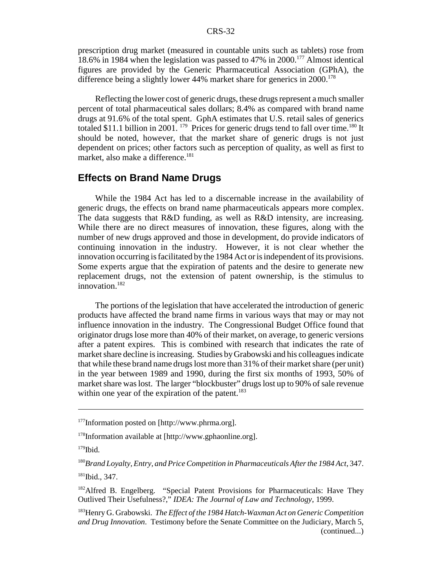prescription drug market (measured in countable units such as tablets) rose from 18.6% in 1984 when the legislation was passed to 47% in 2000.177 Almost identical figures are provided by the Generic Pharmaceutical Association (GPhA), the difference being a slightly lower  $44\%$  market share for generics in  $2000$ .<sup>178</sup>

Reflecting the lower cost of generic drugs, these drugs represent a much smaller percent of total pharmaceutical sales dollars; 8.4% as compared with brand name drugs at 91.6% of the total spent. GphA estimates that U.S. retail sales of generics totaled \$11.1 billion in 2001.  $179$  Prices for generic drugs tend to fall over time.<sup>180</sup> It should be noted, however, that the market share of generic drugs is not just dependent on prices; other factors such as perception of quality, as well as first to market, also make a difference.<sup>181</sup>

#### **Effects on Brand Name Drugs**

While the 1984 Act has led to a discernable increase in the availability of generic drugs, the effects on brand name pharmaceuticals appears more complex. The data suggests that R&D funding, as well as R&D intensity, are increasing. While there are no direct measures of innovation, these figures, along with the number of new drugs approved and those in development, do provide indicators of continuing innovation in the industry. However, it is not clear whether the innovation occurring is facilitated by the 1984 Act or is independent of its provisions. Some experts argue that the expiration of patents and the desire to generate new replacement drugs, not the extension of patent ownership, is the stimulus to innovation.182

The portions of the legislation that have accelerated the introduction of generic products have affected the brand name firms in various ways that may or may not influence innovation in the industry. The Congressional Budget Office found that originator drugs lose more than 40% of their market, on average, to generic versions after a patent expires. This is combined with research that indicates the rate of market share decline is increasing. Studies by Grabowski and his colleagues indicate that while these brand name drugs lost more than 31% of their market share (per unit) in the year between 1989 and 1990, during the first six months of 1993, 50% of market share was lost. The larger "blockbuster" drugs lost up to 90% of sale revenue within one year of the expiration of the patent. $183$ 

<sup>&</sup>lt;sup>177</sup>Information posted on [http://www.phrma.org].

<sup>&</sup>lt;sup>178</sup>Information available at [http://www.gphaonline.org].

 $179$ Ibid.

<sup>180</sup>*Brand Loyalty, Entry, and Price Competition in Pharmaceuticals After the 1984 Act*, 347.  $181$ Ibid., 347.

<sup>&</sup>lt;sup>182</sup>Alfred B. Engelberg. "Special Patent Provisions for Pharmaceuticals: Have They Outlived Their Usefulness?," *IDEA: The Journal of Law and Technology*, 1999.

<sup>183</sup>Henry G. Grabowski. *The Effect of the 1984 Hatch-Waxman Act on Generic Competition and Drug Innovation*. Testimony before the Senate Committee on the Judiciary, March 5, (continued...)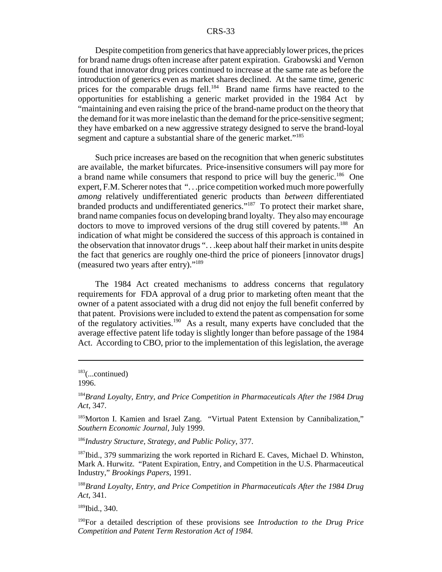Despite competition from generics that have appreciably lower prices, the prices for brand name drugs often increase after patent expiration. Grabowski and Vernon found that innovator drug prices continued to increase at the same rate as before the introduction of generics even as market shares declined. At the same time, generic prices for the comparable drugs fell.<sup>184</sup> Brand name firms have reacted to the opportunities for establishing a generic market provided in the 1984 Act by "maintaining and even raising the price of the brand-name product on the theory that the demand for it was more inelastic than the demand for the price-sensitive segment; they have embarked on a new aggressive strategy designed to serve the brand-loyal segment and capture a substantial share of the generic market."<sup>185</sup>

Such price increases are based on the recognition that when generic substitutes are available, the market bifurcates. Price-insensitive consumers will pay more for a brand name while consumers that respond to price will buy the generic.<sup>186</sup> One expert, F.M. Scherer notes that "...price competition worked much more powerfully *among* relatively undifferentiated generic products than *between* differentiated branded products and undifferentiated generics."187 To protect their market share, brand name companies focus on developing brand loyalty. They also may encourage doctors to move to improved versions of the drug still covered by patents.<sup>188</sup> An indication of what might be considered the success of this approach is contained in the observation that innovator drugs ". . .keep about half their market in units despite the fact that generics are roughly one-third the price of pioneers [innovator drugs] (measured two years after entry)."189

The 1984 Act created mechanisms to address concerns that regulatory requirements for FDA approval of a drug prior to marketing often meant that the owner of a patent associated with a drug did not enjoy the full benefit conferred by that patent. Provisions were included to extend the patent as compensation for some of the regulatory activities.190 As a result, many experts have concluded that the average effective patent life today is slightly longer than before passage of the 1984 Act. According to CBO, prior to the implementation of this legislation, the average

<sup>185</sup>Morton I. Kamien and Israel Zang. "Virtual Patent Extension by Cannibalization," *Southern Economic Journal*, July 1999.

<sup>186</sup>*Industry Structure, Strategy, and Public Policy*, 377.

 $187$ Ibid., 379 summarizing the work reported in Richard E. Caves, Michael D. Whinston, Mark A. Hurwitz. "Patent Expiration, Entry, and Competition in the U.S. Pharmaceutical Industry," *Brookings Papers*, 1991.

<sup>188</sup>*Brand Loyalty, Entry, and Price Competition in Pharmaceuticals After the 1984 Drug Act*, 341.

189Ibid., 340.

190For a detailed description of these provisions see *Introduction to the Drug Price Competition and Patent Term Restoration Act of 1984.*

 $183$ (...continued)

<sup>1996.</sup>

<sup>184</sup>*Brand Loyalty, Entry, and Price Competition in Pharmaceuticals After the 1984 Drug Act*, 347.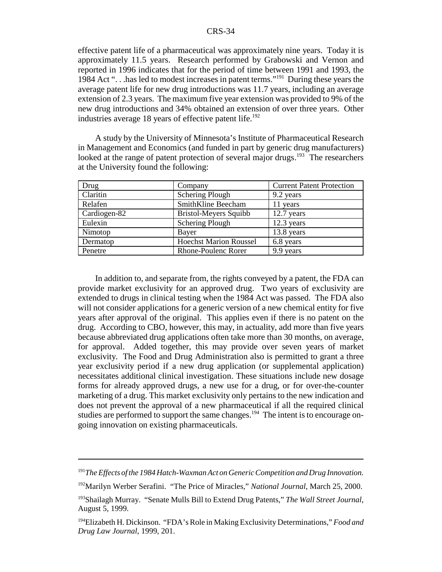effective patent life of a pharmaceutical was approximately nine years. Today it is approximately 11.5 years. Research performed by Grabowski and Vernon and reported in 1996 indicates that for the period of time between 1991 and 1993, the 1984 Act ". . .has led to modest increases in patent terms."191 During these years the average patent life for new drug introductions was 11.7 years, including an average extension of 2.3 years. The maximum five year extension was provided to 9% of the new drug introductions and 34% obtained an extension of over three years. Other industries average 18 years of effective patent life.<sup>192</sup>

A study by the University of Minnesota's Institute of Pharmaceutical Research in Management and Economics (and funded in part by generic drug manufacturers) looked at the range of patent protection of several major drugs.<sup>193</sup> The researchers at the University found the following:

| Drug         | Company                       | <b>Current Patent Protection</b> |
|--------------|-------------------------------|----------------------------------|
| Claritin     | <b>Schering Plough</b>        | 9.2 years                        |
| Relafen      | SmithKline Beecham            | 11 years                         |
| Cardiogen-82 | <b>Bristol-Meyers Squibb</b>  | $12.7$ years                     |
| Eulexin      | Schering Plough               | 12.3 years                       |
| Nimotop      | Bayer                         | 13.8 years                       |
| Dermatop     | <b>Hoechst Marion Roussel</b> | 6.8 years                        |
| Penetre      | <b>Rhone-Poulenc Rorer</b>    | 9.9 years                        |

In addition to, and separate from, the rights conveyed by a patent, the FDA can provide market exclusivity for an approved drug. Two years of exclusivity are extended to drugs in clinical testing when the 1984 Act was passed. The FDA also will not consider applications for a generic version of a new chemical entity for five years after approval of the original. This applies even if there is no patent on the drug. According to CBO, however, this may, in actuality, add more than five years because abbreviated drug applications often take more than 30 months, on average, for approval. Added together, this may provide over seven years of market exclusivity. The Food and Drug Administration also is permitted to grant a three year exclusivity period if a new drug application (or supplemental application) necessitates additional clinical investigation. These situations include new dosage forms for already approved drugs, a new use for a drug, or for over-the-counter marketing of a drug. This market exclusivity only pertains to the new indication and does not prevent the approval of a new pharmaceutical if all the required clinical studies are performed to support the same changes.<sup>194</sup> The intent is to encourage ongoing innovation on existing pharmaceuticals.

<sup>191</sup>*The Effects of the 1984 Hatch-Waxman Act on Generic Competition and Drug Innovation.*

<sup>192</sup>Marilyn Werber Serafini. "The Price of Miracles," *National Journal*, March 25, 2000.

<sup>193</sup>Shailagh Murray. "Senate Mulls Bill to Extend Drug Patents," *The Wall Street Journal*, August 5, 1999.

<sup>194</sup>Elizabeth H. Dickinson. "FDA's Role in Making Exclusivity Determinations," *Food and Drug Law Journal*, 1999, 201.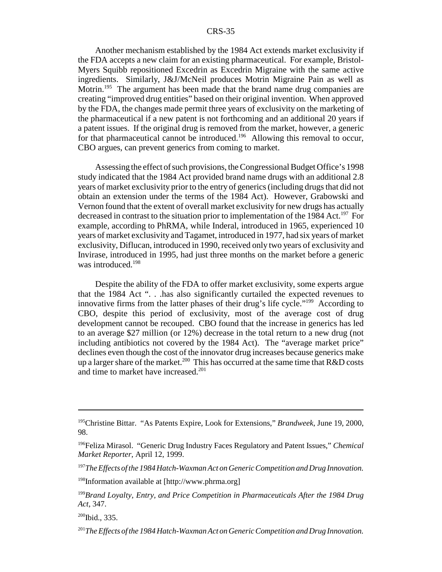Another mechanism established by the 1984 Act extends market exclusivity if the FDA accepts a new claim for an existing pharmaceutical. For example, Bristol-Myers Squibb repositioned Excedrin as Excedrin Migraine with the same active ingredients. Similarly, J&J/McNeil produces Motrin Migraine Pain as well as Motrin.<sup>195</sup> The argument has been made that the brand name drug companies are creating "improved drug entities" based on their original invention. When approved by the FDA, the changes made permit three years of exclusivity on the marketing of the pharmaceutical if a new patent is not forthcoming and an additional 20 years if a patent issues. If the original drug is removed from the market, however, a generic for that pharmaceutical cannot be introduced.<sup>196</sup> Allowing this removal to occur, CBO argues, can prevent generics from coming to market.

Assessing the effect of such provisions, the Congressional Budget Office's 1998 study indicated that the 1984 Act provided brand name drugs with an additional 2.8 years of market exclusivity prior to the entry of generics (including drugs that did not obtain an extension under the terms of the 1984 Act). However, Grabowski and Vernon found that the extent of overall market exclusivity for new drugs has actually decreased in contrast to the situation prior to implementation of the 1984 Act.<sup>197</sup> For example, according to PhRMA, while Inderal, introduced in 1965, experienced 10 years of market exclusivity and Tagamet, introduced in 1977, had six years of market exclusivity, Diflucan, introduced in 1990, received only two years of exclusivity and Invirase, introduced in 1995, had just three months on the market before a generic was introduced.<sup>198</sup>

Despite the ability of the FDA to offer market exclusivity, some experts argue that the 1984 Act ". . .has also significantly curtailed the expected revenues to innovative firms from the latter phases of their drug's life cycle."199 According to CBO, despite this period of exclusivity, most of the average cost of drug development cannot be recouped. CBO found that the increase in generics has led to an average \$27 million (or 12%) decrease in the total return to a new drug (not including antibiotics not covered by the 1984 Act). The "average market price" declines even though the cost of the innovator drug increases because generics make up a larger share of the market.<sup>200</sup> This has occurred at the same time that  $R&D$  costs and time to market have increased.201

<sup>197</sup>*The Effects of the 1984 Hatch-Waxman Act on Generic Competition and Drug Innovation.*

 $200$ Ibid., 335.

<sup>195</sup>Christine Bittar. "As Patents Expire, Look for Extensions," *Brandweek*, June 19, 2000, 98.

<sup>196</sup>Feliza Mirasol. "Generic Drug Industry Faces Regulatory and Patent Issues," *Chemical Market Reporter*, April 12, 1999.

<sup>198</sup>Information available at [http://www.phrma.org]

<sup>199</sup>*Brand Loyalty, Entry, and Price Competition in Pharmaceuticals After the 1984 Drug Act*, 347.

<sup>201</sup>*The Effects of the 1984 Hatch-Waxman Act on Generic Competition and Drug Innovation.*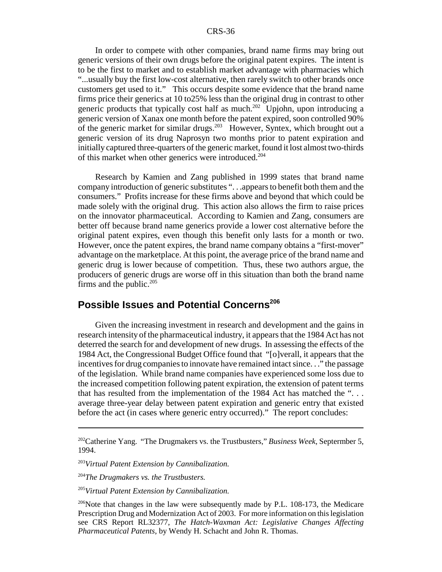In order to compete with other companies, brand name firms may bring out generic versions of their own drugs before the original patent expires. The intent is to be the first to market and to establish market advantage with pharmacies which "...usually buy the first low-cost alternative, then rarely switch to other brands once customers get used to it." This occurs despite some evidence that the brand name firms price their generics at 10 to25% less than the original drug in contrast to other generic products that typically cost half as much.<sup>202</sup> Upjohn, upon introducing a generic version of Xanax one month before the patent expired, soon controlled 90% of the generic market for similar drugs.<sup>203</sup> However, Syntex, which brought out a generic version of its drug Naprosyn two months prior to patent expiration and initially captured three-quarters of the generic market, found it lost almost two-thirds of this market when other generics were introduced.<sup>204</sup>

Research by Kamien and Zang published in 1999 states that brand name company introduction of generic substitutes ". . .appears to benefit both them and the consumers." Profits increase for these firms above and beyond that which could be made solely with the original drug. This action also allows the firm to raise prices on the innovator pharmaceutical. According to Kamien and Zang, consumers are better off because brand name generics provide a lower cost alternative before the original patent expires, even though this benefit only lasts for a month or two. However, once the patent expires, the brand name company obtains a "first-mover" advantage on the marketplace. At this point, the average price of the brand name and generic drug is lower because of competition. Thus, these two authors argue, the producers of generic drugs are worse off in this situation than both the brand name firms and the public. $205$ 

## **Possible Issues and Potential Concerns<sup>206</sup>**

Given the increasing investment in research and development and the gains in research intensity of the pharmaceutical industry, it appears that the 1984 Act has not deterred the search for and development of new drugs. In assessing the effects of the 1984 Act, the Congressional Budget Office found that "[o]verall, it appears that the incentives for drug companies to innovate have remained intact since. . ." the passage of the legislation. While brand name companies have experienced some loss due to the increased competition following patent expiration, the extension of patent terms that has resulted from the implementation of the 1984 Act has matched the ". . . average three-year delay between patent expiration and generic entry that existed before the act (in cases where generic entry occurred)." The report concludes:

<sup>202</sup>Catherine Yang. "The Drugmakers vs. the Trustbusters," *Business Week*, Septermber 5, 1994.

<sup>203</sup>*Virtual Patent Extension by Cannibalization.*

<sup>204</sup>*The Drugmakers vs. the Trustbusters.*

<sup>205</sup>*Virtual Patent Extension by Cannibalization.*

<sup>&</sup>lt;sup>206</sup>Note that changes in the law were subsequently made by P.L. 108-173, the Medicare Prescription Drug and Modernization Act of 2003. For more information on this legislation see CRS Report RL32377, *The Hatch-Waxman Act: Legislative Changes Affecting Pharmaceutical Patents*, by Wendy H. Schacht and John R. Thomas.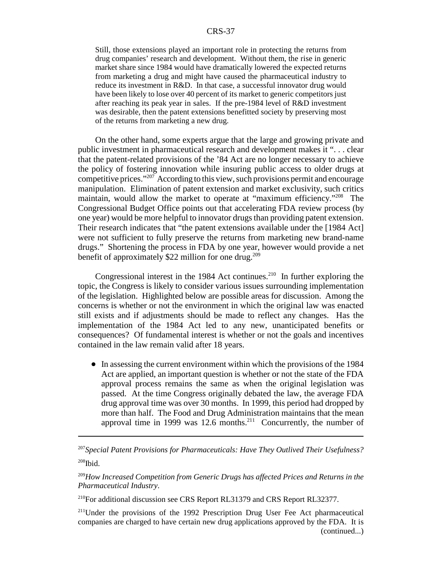Still, those extensions played an important role in protecting the returns from drug companies' research and development. Without them, the rise in generic market share since 1984 would have dramatically lowered the expected returns from marketing a drug and might have caused the pharmaceutical industry to reduce its investment in R&D. In that case, a successful innovator drug would have been likely to lose over 40 percent of its market to generic competitors just after reaching its peak year in sales. If the pre-1984 level of R&D investment was desirable, then the patent extensions benefitted society by preserving most of the returns from marketing a new drug.

On the other hand, some experts argue that the large and growing private and public investment in pharmaceutical research and development makes it ". . . clear that the patent-related provisions of the '84 Act are no longer necessary to achieve the policy of fostering innovation while insuring public access to older drugs at competitive prices."207 According to this view, such provisions permit and encourage manipulation. Elimination of patent extension and market exclusivity, such critics maintain, would allow the market to operate at "maximum efficiency."<sup>208</sup> The Congressional Budget Office points out that accelerating FDA review process (by one year) would be more helpful to innovator drugs than providing patent extension. Their research indicates that "the patent extensions available under the [1984 Act] were not sufficient to fully preserve the returns from marketing new brand-name drugs." Shortening the process in FDA by one year, however would provide a net benefit of approximately  $$22$  million for one drug.<sup>209</sup>

Congressional interest in the 1984 Act continues.<sup>210</sup> In further exploring the topic, the Congress is likely to consider various issues surrounding implementation of the legislation. Highlighted below are possible areas for discussion. Among the concerns is whether or not the environment in which the original law was enacted still exists and if adjustments should be made to reflect any changes. Has the implementation of the 1984 Act led to any new, unanticipated benefits or consequences? Of fundamental interest is whether or not the goals and incentives contained in the law remain valid after 18 years.

• In assessing the current environment within which the provisions of the 1984 Act are applied, an important question is whether or not the state of the FDA approval process remains the same as when the original legislation was passed. At the time Congress originally debated the law, the average FDA drug approval time was over 30 months. In 1999, this period had dropped by more than half. The Food and Drug Administration maintains that the mean approval time in 1999 was 12.6 months.<sup>211</sup> Concurrently, the number of

<sup>210</sup>For additional discussion see CRS Report RL31379 and CRS Report RL32377.

<sup>211</sup>Under the provisions of the 1992 Prescription Drug User Fee Act pharmaceutical companies are charged to have certain new drug applications approved by the FDA. It is (continued...)

<sup>207</sup>*Special Patent Provisions for Pharmaceuticals: Have They Outlived Their Usefulness?*  $208$ Ibid.

<sup>209</sup>*How Increased Competition from Generic Drugs has affected Prices and Returns in the Pharmaceutical Industry*.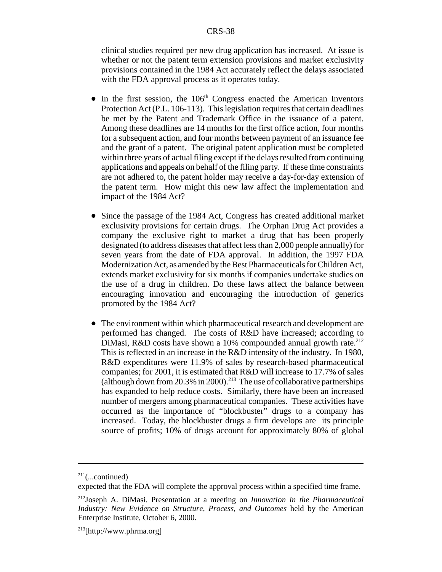clinical studies required per new drug application has increased. At issue is whether or not the patent term extension provisions and market exclusivity provisions contained in the 1984 Act accurately reflect the delays associated with the FDA approval process as it operates today.

- $\bullet$  In the first session, the 106<sup>th</sup> Congress enacted the American Inventors Protection Act (P.L. 106-113). This legislation requires that certain deadlines be met by the Patent and Trademark Office in the issuance of a patent. Among these deadlines are 14 months for the first office action, four months for a subsequent action, and four months between payment of an issuance fee and the grant of a patent. The original patent application must be completed within three years of actual filing except if the delays resulted from continuing applications and appeals on behalf of the filing party. If these time constraints are not adhered to, the patent holder may receive a day-for-day extension of the patent term. How might this new law affect the implementation and impact of the 1984 Act?
- Since the passage of the 1984 Act, Congress has created additional market exclusivity provisions for certain drugs. The Orphan Drug Act provides a company the exclusive right to market a drug that has been properly designated (to address diseases that affect less than 2,000 people annually) for seven years from the date of FDA approval. In addition, the 1997 FDA Modernization Act, as amended by the Best Pharmaceuticals for Children Act, extends market exclusivity for six months if companies undertake studies on the use of a drug in children. Do these laws affect the balance between encouraging innovation and encouraging the introduction of generics promoted by the 1984 Act?
- The environment within which pharmaceutical research and development are performed has changed. The costs of R&D have increased; according to DiMasi, R&D costs have shown a 10% compounded annual growth rate.<sup>212</sup> This is reflected in an increase in the R&D intensity of the industry. In 1980, R&D expenditures were 11.9% of sales by research-based pharmaceutical companies; for 2001, it is estimated that R&D will increase to 17.7% of sales (although down from 20.3% in 2000).<sup>213</sup> The use of collaborative partnerships has expanded to help reduce costs. Similarly, there have been an increased number of mergers among pharmaceutical companies. These activities have occurred as the importance of "blockbuster" drugs to a company has increased. Today, the blockbuster drugs a firm develops are its principle source of profits; 10% of drugs account for approximately 80% of global

 $211$ (...continued)

expected that the FDA will complete the approval process within a specified time frame.

<sup>212</sup>Joseph A. DiMasi. Presentation at a meeting on *Innovation in the Pharmaceutical Industry: New Evidence on Structure, Process, and Outcomes* held by the American Enterprise Institute, October 6, 2000.

 $^{213}$ [http://www.phrma.org]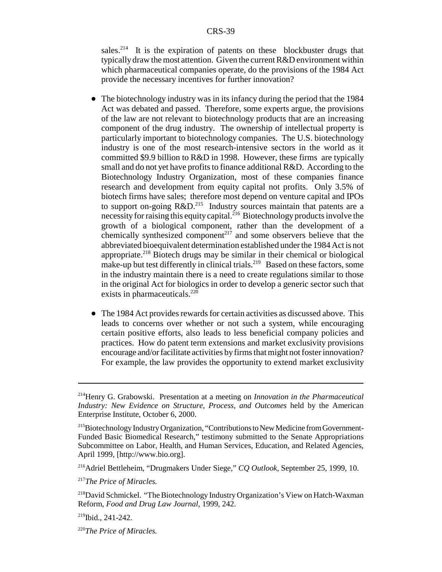sales.<sup>214</sup> It is the expiration of patents on these blockbuster drugs that typically draw the most attention. Given the current R&D environment within which pharmaceutical companies operate, do the provisions of the 1984 Act provide the necessary incentives for further innovation?

- The biotechnology industry was in its infancy during the period that the 1984 Act was debated and passed. Therefore, some experts argue, the provisions of the law are not relevant to biotechnology products that are an increasing component of the drug industry. The ownership of intellectual property is particularly important to biotechnology companies. The U.S. biotechnology industry is one of the most research-intensive sectors in the world as it committed \$9.9 billion to R&D in 1998. However, these firms are typically small and do not yet have profits to finance additional R&D. According to the Biotechnology Industry Organization, most of these companies finance research and development from equity capital not profits. Only 3.5% of biotech firms have sales; therefore most depend on venture capital and IPOs to support on-going  $R&D.<sup>215</sup>$  Industry sources maintain that patents are a necessity for raising this equity capital.<sup>216</sup> Biotechnology products involve the growth of a biological component, rather than the development of a chemically synthesized component<sup> $217$ </sup> and some observers believe that the abbreviated bioequivalent determination established under the 1984 Act is not appropriate.<sup>218</sup> Biotech drugs may be similar in their chemical or biological make-up but test differently in clinical trials.<sup>219</sup> Based on these factors, some in the industry maintain there is a need to create regulations similar to those in the original Act for biologics in order to develop a generic sector such that exists in pharmaceuticals.<sup>220</sup>
- The 1984 Act provides rewards for certain activities as discussed above. This leads to concerns over whether or not such a system, while encouraging certain positive efforts, also leads to less beneficial company policies and practices. How do patent term extensions and market exclusivity provisions encourage and/or facilitate activities by firms that might not foster innovation? For example, the law provides the opportunity to extend market exclusivity

<sup>214</sup>Henry G. Grabowski. Presentation at a meeting on *Innovation in the Pharmaceutical Industry: New Evidence on Structure, Process, and Outcomes* held by the American Enterprise Institute, October 6, 2000.

<sup>&</sup>lt;sup>215</sup>Biotechnology Industry Organization, "Contributions to New Medicine from Government-Funded Basic Biomedical Research," testimony submitted to the Senate Appropriations Subcommittee on Labor, Health, and Human Services, Education, and Related Agencies, April 1999, [http://www.bio.org].

<sup>216</sup>Adriel Bettleheim, "Drugmakers Under Siege," *CQ Outlook*, September 25, 1999, 10.

<sup>217</sup>*The Price of Miracles.*

<sup>&</sup>lt;sup>218</sup>David Schmickel. "The Biotechnology Industry Organization's View on Hatch-Waxman Reform, *Food and Drug Law Journal*, 1999, 242.

 $219$ Ibid., 241-242.

<sup>220</sup>*The Price of Miracles.*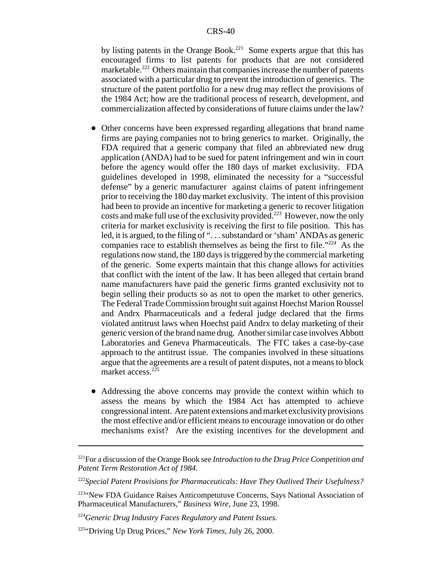by listing patents in the Orange Book.<sup>221</sup> Some experts argue that this has encouraged firms to list patents for products that are not considered marketable.<sup>222</sup> Others maintain that companies increase the number of patents associated with a particular drug to prevent the introduction of generics. The structure of the patent portfolio for a new drug may reflect the provisions of the 1984 Act; how are the traditional process of research, development, and commercialization affected by considerations of future claims under the law?

- ! Other concerns have been expressed regarding allegations that brand name firms are paying companies not to bring generics to market. Originally, the FDA required that a generic company that filed an abbreviated new drug application (ANDA) had to be sued for patent infringement and win in court before the agency would offer the 180 days of market exclusivity. FDA guidelines developed in 1998, eliminated the necessity for a "successful defense" by a generic manufacturer against claims of patent infringement prior to receiving the 180 day market exclusivity. The intent of this provision had been to provide an incentive for marketing a generic to recover litigation costs and make full use of the exclusivity provided.<sup>223</sup> However, now the only criteria for market exclusivity is receiving the first to file position. This has led, it is argued, to the filing of ". . . substandard or 'sham' ANDAs as generic companies race to establish themselves as being the first to file." $224$  As the regulations now stand, the 180 days is triggered by the commercial marketing of the generic. Some experts maintain that this change allows for activities that conflict with the intent of the law. It has been alleged that certain brand name manufacturers have paid the generic firms granted exclusivity not to begin selling their products so as not to open the market to other generics. The Federal Trade Commission brought suit against Hoechst Marion Roussel and Andrx Pharmaceuticals and a federal judge declared that the firms violated antitrust laws when Hoechst paid Andrx to delay marketing of their generic version of the brand name drug. Another similar case involves Abbott Laboratories and Geneva Pharmaceuticals. The FTC takes a case-by-case approach to the antitrust issue. The companies involved in these situations argue that the agreements are a result of patent disputes, not a means to block market access. $2^{25}$
- Addressing the above concerns may provide the context within which to assess the means by which the 1984 Act has attempted to achieve congressional intent. Are patent extensions and market exclusivity provisions the most effective and/or efficient means to encourage innovation or do other mechanisms exist? Are the existing incentives for the development and

<sup>221</sup>For a discussion of the Orange Book see *Introduction to the Drug Price Competition and Patent Term Restoration Act of 1984.*

<sup>222</sup>*Special Patent Provisions for Pharmaceuticals: Have They Outlived Their Usefulness?*

<sup>223&</sup>quot;New FDA Guidance Raises Anticompetutuve Concerns, Says National Association of Pharmaceutical Manufacturers," *Business Wire*, June 23, 1998.

<sup>224</sup>*Generic Drug Industry Faces Regulatory and Patent Issues.*

<sup>225&</sup>quot;Driving Up Drug Prices," *New York Times*, July 26, 2000.